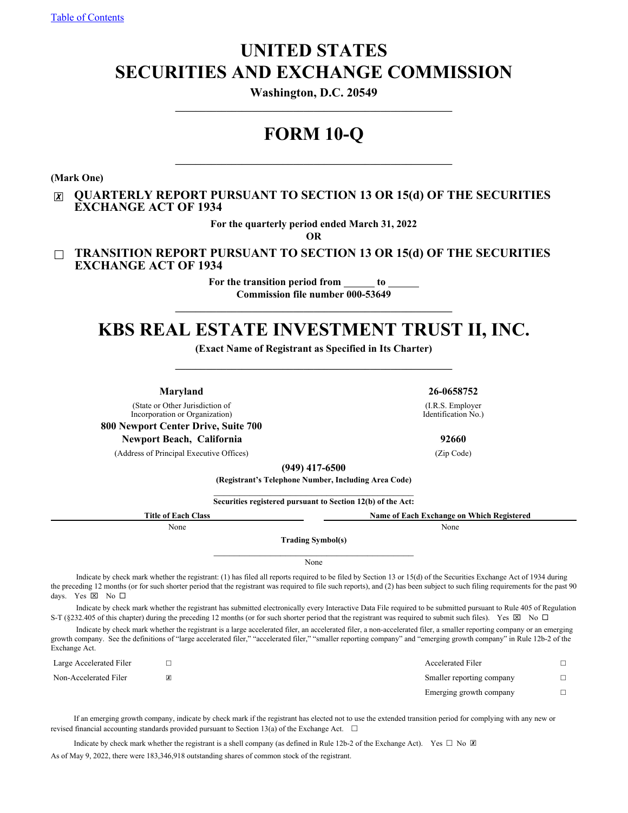# **UNITED STATES SECURITIES AND EXCHANGE COMMISSION**

**Washington, D.C. 20549**

# **FORM 10-Q**

**(Mark One)**

### ☒ **QUARTERLY REPORT PURSUANT TO SECTION 13 OR 15(d) OF THE SECURITIES EXCHANGE ACT OF 1934**

**For the quarterly period ended March 31, 2022**

**OR**

☐ **TRANSITION REPORT PURSUANT TO SECTION 13 OR 15(d) OF THE SECURITIES EXCHANGE ACT OF 1934**

> For the transition period from \_\_\_\_\_\_\_ to **Commission file number 000-53649**

# **KBS REAL ESTATE INVESTMENT TRUST II, INC.**

**\_\_\_\_\_\_\_\_\_\_\_\_\_\_\_\_\_\_\_\_\_\_\_\_\_\_\_\_\_\_\_\_\_\_\_\_\_\_\_\_\_\_\_\_\_\_\_\_\_\_\_\_\_\_**

**(Exact Name of Registrant as Specified in Its Charter)**  $\mathcal{L}_\mathcal{L} = \{ \mathcal{L}_\mathcal{L} = \{ \mathcal{L}_\mathcal{L} \}$ 

> (I.R.S. Employer Identification No.)

**Maryland 26-0658752**

(State or Other Jurisdiction of Incorporation or Organization)

**800 Newport Center Drive, Suite 700**

**Newport Beach, California 92660**

(Address of Principal Executive Offices) (Zip Code)

**(949) 417-6500**

**(Registrant's Telephone Number, Including Area Code)**  $\mathcal{L}_\text{max}$  and  $\mathcal{L}_\text{max}$  and  $\mathcal{L}_\text{max}$  and  $\mathcal{L}_\text{max}$ 

**Securities registered pursuant to Section 12(b) of the Act:**

| <b>Title of Each Class</b> | Name of Each Exchange on Which Registered |
|----------------------------|-------------------------------------------|
| None                       | None                                      |
|                            | <b>Trading Symbol(s)</b>                  |

None

Indicate by check mark whether the registrant: (1) has filed all reports required to be filed by Section 13 or 15(d) of the Securities Exchange Act of 1934 during the preceding 12 months (or for such shorter period that the registrant was required to file such reports), and (2) has been subject to such filing requirements for the past 90 days. Yes  $\boxtimes$  No  $\square$ 

Indicate by check mark whether the registrant has submitted electronically every Interactive Data File required to be submitted pursuant to Rule 405 of Regulation S-T (§232.405 of this chapter) during the preceding 12 months (or for such shorter period that the registrant was required to submit such files). Yes  $\boxtimes$  No  $\Box$ 

Indicate by check mark whether the registrant is a large accelerated filer, an accelerated filer, a non-accelerated filer, a smaller reporting company or an emerging growth company. See the definitions of "large accelerated filer," "accelerated filer," "smaller reporting company" and "emerging growth company" in Rule 12b-2 of the Exchange Act.

| Large Accelerated Filer | Accelerated Filer         |  |
|-------------------------|---------------------------|--|
| Non-Accelerated Filer   | Smaller reporting company |  |
|                         | Emerging growth company   |  |

If an emerging growth company, indicate by check mark if the registrant has elected not to use the extended transition period for complying with any new or revised financial accounting standards provided pursuant to Section 13(a) of the Exchange Act.  $\Box$ 

Indicate by check mark whether the registrant is a shell company (as defined in Rule 12b-2 of the Exchange Act). Yes  $\Box$  No  $\Box$ As of May 9, 2022, there were 183,346,918 outstanding shares of common stock of the registrant.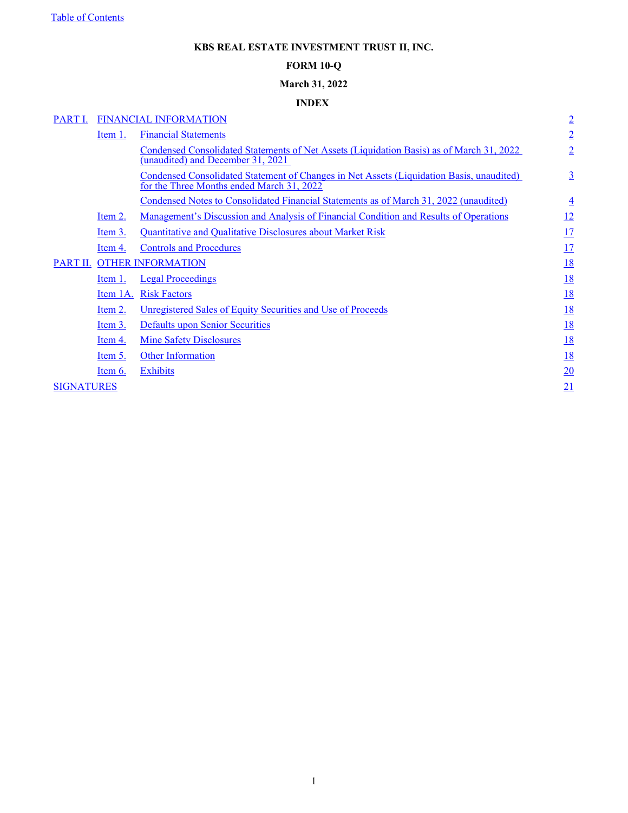## **KBS REAL ESTATE INVESTMENT TRUST II, INC.**

### **FORM 10-Q**

## **March 31, 2022**

## **INDEX**

<span id="page-1-0"></span>

| PART I.           |                | FINANCIAL INFORMATION                                                                                                                 | $\overline{2}$ |
|-------------------|----------------|---------------------------------------------------------------------------------------------------------------------------------------|----------------|
|                   | Item 1.        | <b>Financial Statements</b>                                                                                                           | $\overline{2}$ |
|                   |                | Condensed Consolidated Statements of Net Assets (Liquidation Basis) as of March 31, 2022<br>(unaudited) and December 31, 2021         | $\overline{2}$ |
|                   |                | Condensed Consolidated Statement of Changes in Net Assets (Liquidation Basis, unaudited)<br>for the Three Months ended March 31, 2022 | $\overline{3}$ |
|                   |                | Condensed Notes to Consolidated Financial Statements as of March 31, 2022 (unaudited)                                                 | $\overline{4}$ |
|                   | Item 2.        | Management's Discussion and Analysis of Financial Condition and Results of Operations                                                 | 12             |
|                   | Item 3.        | Quantitative and Qualitative Disclosures about Market Risk                                                                            | 17             |
|                   | Item 4.        | <b>Controls and Procedures</b>                                                                                                        | 17             |
| PART II.          |                | <b>OTHER INFORMATION</b>                                                                                                              | <u>18</u>      |
|                   | Item 1.        | <b>Legal Proceedings</b>                                                                                                              | <u>18</u>      |
|                   | Item 1A.       | <b>Risk Factors</b>                                                                                                                   | <u>18</u>      |
|                   | Item $2.$      | Unregistered Sales of Equity Securities and Use of Proceeds                                                                           | <u>18</u>      |
|                   | Item $3.$      | <b>Defaults upon Senior Securities</b>                                                                                                | <u>18</u>      |
|                   | <u>Item 4.</u> | <b>Mine Safety Disclosures</b>                                                                                                        | <u>18</u>      |
|                   | Item 5.        | <b>Other Information</b>                                                                                                              | <u>18</u>      |
|                   | Item $6.$      | <b>Exhibits</b>                                                                                                                       | 20             |
| <b>SIGNATURES</b> |                |                                                                                                                                       | 21             |
|                   |                |                                                                                                                                       |                |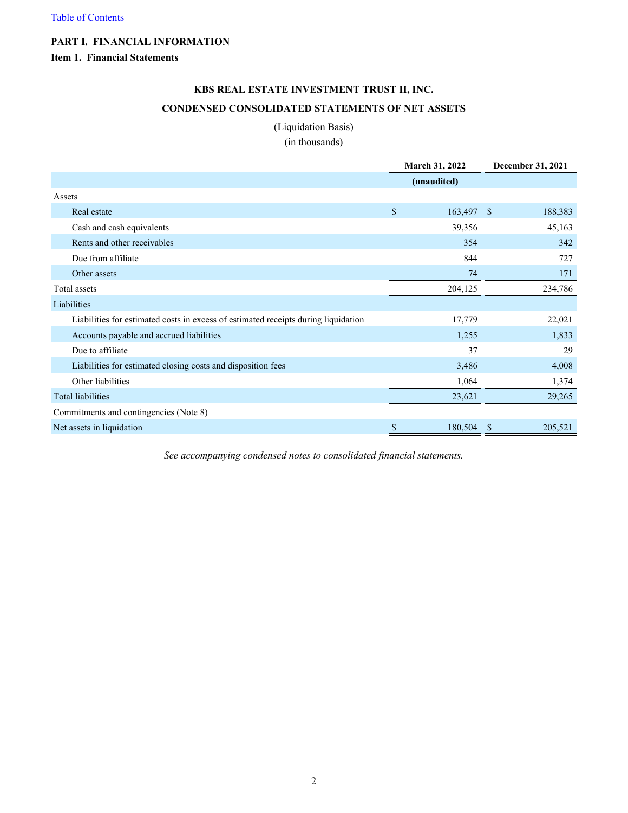## <span id="page-2-0"></span>**PART I. FINANCIAL INFORMATION**

## **Item 1. Financial Statements**

## **KBS REAL ESTATE INVESTMENT TRUST II, INC. CONDENSED CONSOLIDATED STATEMENTS OF NET ASSETS**

#### (Liquidation Basis)

(in thousands)

|                                                                                    | March 31, 2022   | <b>December 31, 2021</b> |  |  |
|------------------------------------------------------------------------------------|------------------|--------------------------|--|--|
|                                                                                    | (unaudited)      |                          |  |  |
| Assets                                                                             |                  |                          |  |  |
| Real estate                                                                        | \$<br>163,497 \$ | 188,383                  |  |  |
| Cash and cash equivalents                                                          | 39,356           | 45,163                   |  |  |
| Rents and other receivables                                                        | 354              | 342                      |  |  |
| Due from affiliate                                                                 | 844              | 727                      |  |  |
| Other assets                                                                       | 74               | 171                      |  |  |
| Total assets                                                                       | 204,125          | 234,786                  |  |  |
| Liabilities                                                                        |                  |                          |  |  |
| Liabilities for estimated costs in excess of estimated receipts during liquidation | 17,779           | 22,021                   |  |  |
| Accounts payable and accrued liabilities                                           | 1,255            | 1,833                    |  |  |
| Due to affiliate                                                                   | 37               | 29                       |  |  |
| Liabilities for estimated closing costs and disposition fees                       | 3,486            | 4,008                    |  |  |
| Other liabilities                                                                  | 1,064            | 1,374                    |  |  |
| <b>Total liabilities</b>                                                           | 23,621           | 29,265                   |  |  |
| Commitments and contingencies (Note 8)                                             |                  |                          |  |  |
| Net assets in liquidation                                                          | \$<br>180,504    | 205,521<br><sup>\$</sup> |  |  |

*See accompanying condensed notes to consolidated financial statements.*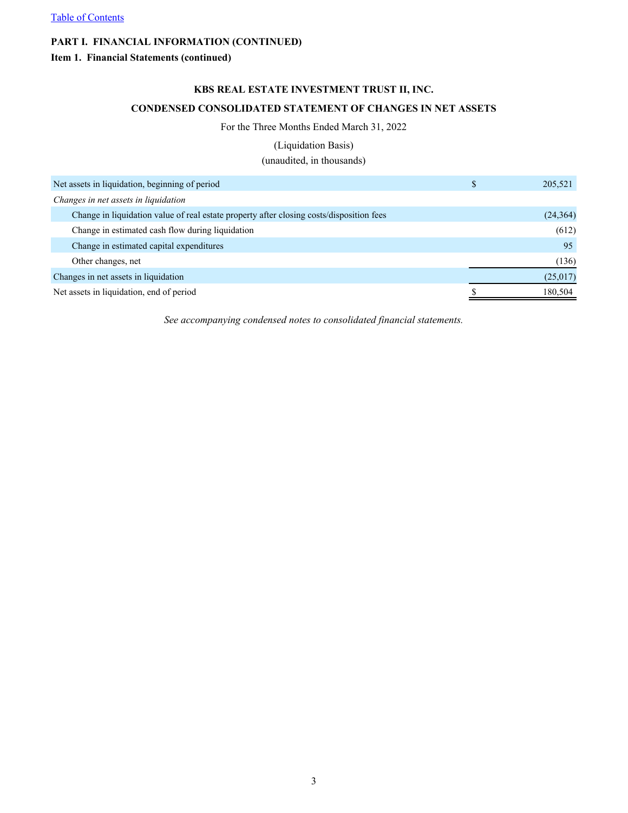## <span id="page-3-0"></span>**Item 1. Financial Statements (continued)**

### **KBS REAL ESTATE INVESTMENT TRUST II, INC.**

## **CONDENSED CONSOLIDATED STATEMENT OF CHANGES IN NET ASSETS**

#### For the Three Months Ended March 31, 2022

#### (Liquidation Basis)

(unaudited, in thousands)

| Net assets in liquidation, beginning of period                                           | 205,521   |
|------------------------------------------------------------------------------------------|-----------|
| Changes in net assets in liquidation                                                     |           |
| Change in liquidation value of real estate property after closing costs/disposition fees | (24, 364) |
| Change in estimated cash flow during liquidation                                         | (612)     |
| Change in estimated capital expenditures                                                 | 95        |
| Other changes, net                                                                       | (136)     |
| Changes in net assets in liquidation                                                     | (25,017)  |
| Net assets in liquidation, end of period                                                 | 180,504   |

*See accompanying condensed notes to consolidated financial statements.*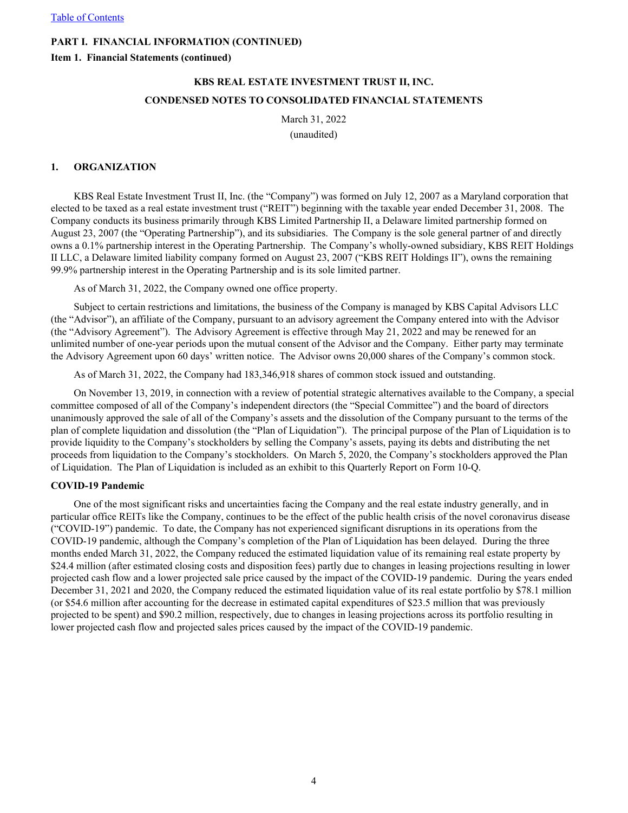<span id="page-4-0"></span>**Item 1. Financial Statements (continued)**

# **KBS REAL ESTATE INVESTMENT TRUST II, INC. CONDENSED NOTES TO CONSOLIDATED FINANCIAL STATEMENTS**

March 31, 2022 (unaudited)

#### **1. ORGANIZATION**

KBS Real Estate Investment Trust II, Inc. (the "Company") was formed on July 12, 2007 as a Maryland corporation that elected to be taxed as a real estate investment trust ("REIT") beginning with the taxable year ended December 31, 2008. The Company conducts its business primarily through KBS Limited Partnership II, a Delaware limited partnership formed on August 23, 2007 (the "Operating Partnership"), and its subsidiaries. The Company is the sole general partner of and directly owns a 0.1% partnership interest in the Operating Partnership. The Company's wholly-owned subsidiary, KBS REIT Holdings II LLC, a Delaware limited liability company formed on August 23, 2007 ("KBS REIT Holdings II"), owns the remaining 99.9% partnership interest in the Operating Partnership and is its sole limited partner.

As of March 31, 2022, the Company owned one office property.

Subject to certain restrictions and limitations, the business of the Company is managed by KBS Capital Advisors LLC (the "Advisor"), an affiliate of the Company, pursuant to an advisory agreement the Company entered into with the Advisor (the "Advisory Agreement"). The Advisory Agreement is effective through May 21, 2022 and may be renewed for an unlimited number of one-year periods upon the mutual consent of the Advisor and the Company. Either party may terminate the Advisory Agreement upon 60 days' written notice. The Advisor owns 20,000 shares of the Company's common stock.

As of March 31, 2022, the Company had 183,346,918 shares of common stock issued and outstanding.

On November 13, 2019, in connection with a review of potential strategic alternatives available to the Company, a special committee composed of all of the Company's independent directors (the "Special Committee") and the board of directors unanimously approved the sale of all of the Company's assets and the dissolution of the Company pursuant to the terms of the plan of complete liquidation and dissolution (the "Plan of Liquidation"). The principal purpose of the Plan of Liquidation is to provide liquidity to the Company's stockholders by selling the Company's assets, paying its debts and distributing the net proceeds from liquidation to the Company's stockholders. On March 5, 2020, the Company's stockholders approved the Plan of Liquidation. The Plan of Liquidation is included as an exhibit to this Quarterly Report on Form 10-Q.

#### **COVID-19 Pandemic**

One of the most significant risks and uncertainties facing the Company and the real estate industry generally, and in particular office REITs like the Company, continues to be the effect of the public health crisis of the novel coronavirus disease ("COVID-19") pandemic. To date, the Company has not experienced significant disruptions in its operations from the COVID-19 pandemic, although the Company's completion of the Plan of Liquidation has been delayed. During the three months ended March 31, 2022, the Company reduced the estimated liquidation value of its remaining real estate property by \$24.4 million (after estimated closing costs and disposition fees) partly due to changes in leasing projections resulting in lower projected cash flow and a lower projected sale price caused by the impact of the COVID-19 pandemic. During the years ended December 31, 2021 and 2020, the Company reduced the estimated liquidation value of its real estate portfolio by \$78.1 million (or \$54.6 million after accounting for the decrease in estimated capital expenditures of \$23.5 million that was previously projected to be spent) and \$90.2 million, respectively, due to changes in leasing projections across its portfolio resulting in lower projected cash flow and projected sales prices caused by the impact of the COVID-19 pandemic.

4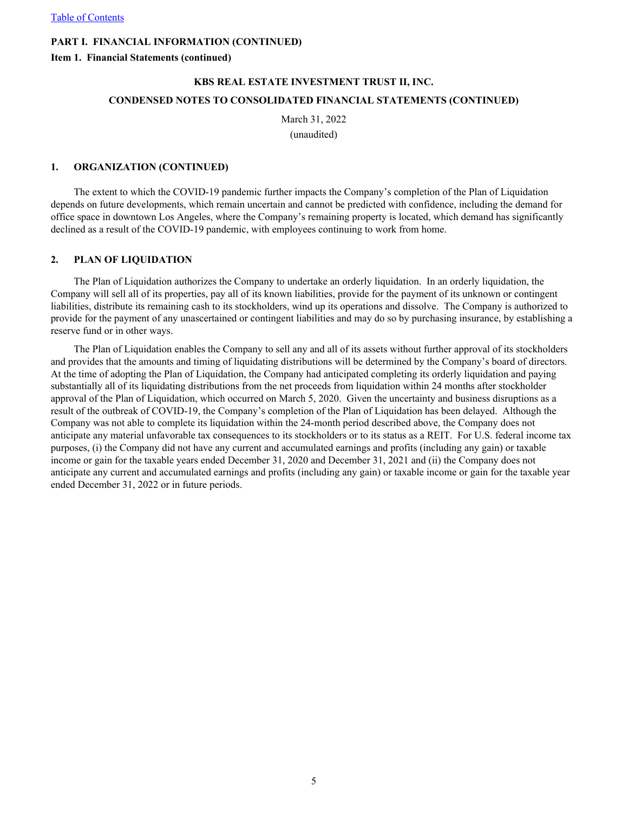**Item 1. Financial Statements (continued)**

# **KBS REAL ESTATE INVESTMENT TRUST II, INC. CONDENSED NOTES TO CONSOLIDATED FINANCIAL STATEMENTS (CONTINUED)**

March 31, 2022 (unaudited)

#### **1. ORGANIZATION (CONTINUED)**

The extent to which the COVID-19 pandemic further impacts the Company's completion of the Plan of Liquidation depends on future developments, which remain uncertain and cannot be predicted with confidence, including the demand for office space in downtown Los Angeles, where the Company's remaining property is located, which demand has significantly declined as a result of the COVID-19 pandemic, with employees continuing to work from home.

#### **2. PLAN OF LIQUIDATION**

The Plan of Liquidation authorizes the Company to undertake an orderly liquidation. In an orderly liquidation, the Company will sell all of its properties, pay all of its known liabilities, provide for the payment of its unknown or contingent liabilities, distribute its remaining cash to its stockholders, wind up its operations and dissolve. The Company is authorized to provide for the payment of any unascertained or contingent liabilities and may do so by purchasing insurance, by establishing a reserve fund or in other ways.

The Plan of Liquidation enables the Company to sell any and all of its assets without further approval of its stockholders and provides that the amounts and timing of liquidating distributions will be determined by the Company's board of directors. At the time of adopting the Plan of Liquidation, the Company had anticipated completing its orderly liquidation and paying substantially all of its liquidating distributions from the net proceeds from liquidation within 24 months after stockholder approval of the Plan of Liquidation, which occurred on March 5, 2020. Given the uncertainty and business disruptions as a result of the outbreak of COVID-19, the Company's completion of the Plan of Liquidation has been delayed. Although the Company was not able to complete its liquidation within the 24-month period described above, the Company does not anticipate any material unfavorable tax consequences to its stockholders or to its status as a REIT. For U.S. federal income tax purposes, (i) the Company did not have any current and accumulated earnings and profits (including any gain) or taxable income or gain for the taxable years ended December 31, 2020 and December 31, 2021 and (ii) the Company does not anticipate any current and accumulated earnings and profits (including any gain) or taxable income or gain for the taxable year ended December 31, 2022 or in future periods.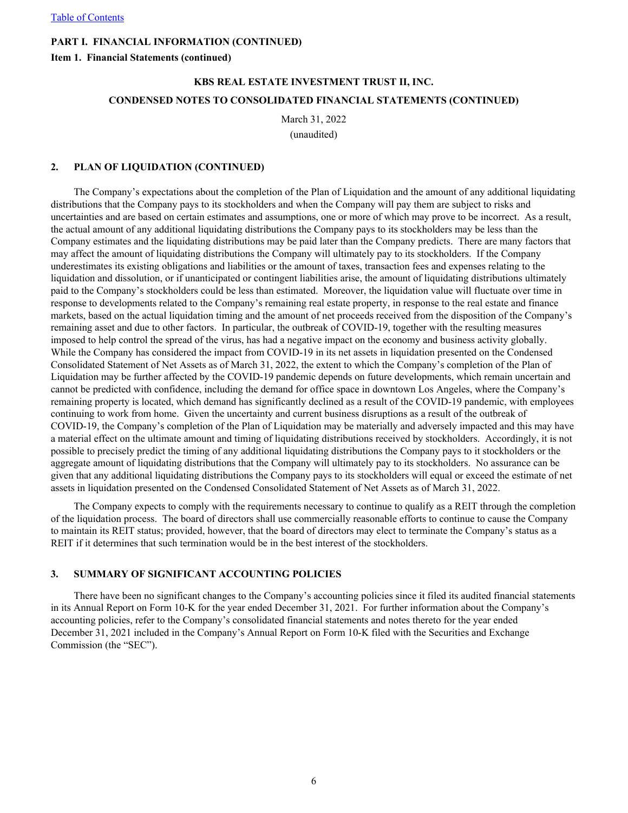**Item 1. Financial Statements (continued)**

## **KBS REAL ESTATE INVESTMENT TRUST II, INC. CONDENSED NOTES TO CONSOLIDATED FINANCIAL STATEMENTS (CONTINUED)**

March 31, 2022 (unaudited)

# **2. PLAN OF LIQUIDATION (CONTINUED)**

The Company's expectations about the completion of the Plan of Liquidation and the amount of any additional liquidating distributions that the Company pays to its stockholders and when the Company will pay them are subject to risks and uncertainties and are based on certain estimates and assumptions, one or more of which may prove to be incorrect. As a result, the actual amount of any additional liquidating distributions the Company pays to its stockholders may be less than the Company estimates and the liquidating distributions may be paid later than the Company predicts. There are many factors that may affect the amount of liquidating distributions the Company will ultimately pay to its stockholders. If the Company underestimates its existing obligations and liabilities or the amount of taxes, transaction fees and expenses relating to the liquidation and dissolution, or if unanticipated or contingent liabilities arise, the amount of liquidating distributions ultimately paid to the Company's stockholders could be less than estimated. Moreover, the liquidation value will fluctuate over time in response to developments related to the Company's remaining real estate property, in response to the real estate and finance markets, based on the actual liquidation timing and the amount of net proceeds received from the disposition of the Company's remaining asset and due to other factors. In particular, the outbreak of COVID-19, together with the resulting measures imposed to help control the spread of the virus, has had a negative impact on the economy and business activity globally. While the Company has considered the impact from COVID-19 in its net assets in liquidation presented on the Condensed Consolidated Statement of Net Assets as of March 31, 2022, the extent to which the Company's completion of the Plan of Liquidation may be further affected by the COVID-19 pandemic depends on future developments, which remain uncertain and cannot be predicted with confidence, including the demand for office space in downtown Los Angeles, where the Company's remaining property is located, which demand has significantly declined as a result of the COVID-19 pandemic, with employees continuing to work from home. Given the uncertainty and current business disruptions as a result of the outbreak of COVID-19, the Company's completion of the Plan of Liquidation may be materially and adversely impacted and this may have a material effect on the ultimate amount and timing of liquidating distributions received by stockholders. Accordingly, it is not possible to precisely predict the timing of any additional liquidating distributions the Company pays to it stockholders or the aggregate amount of liquidating distributions that the Company will ultimately pay to its stockholders. No assurance can be given that any additional liquidating distributions the Company pays to its stockholders will equal or exceed the estimate of net assets in liquidation presented on the Condensed Consolidated Statement of Net Assets as of March 31, 2022.

The Company expects to comply with the requirements necessary to continue to qualify as a REIT through the completion of the liquidation process. The board of directors shall use commercially reasonable efforts to continue to cause the Company to maintain its REIT status; provided, however, that the board of directors may elect to terminate the Company's status as a REIT if it determines that such termination would be in the best interest of the stockholders.

#### **3. SUMMARY OF SIGNIFICANT ACCOUNTING POLICIES**

There have been no significant changes to the Company's accounting policies since it filed its audited financial statements in its Annual Report on Form 10-K for the year ended December 31, 2021. For further information about the Company's accounting policies, refer to the Company's consolidated financial statements and notes thereto for the year ended December 31, 2021 included in the Company's Annual Report on Form 10-K filed with the Securities and Exchange Commission (the "SEC").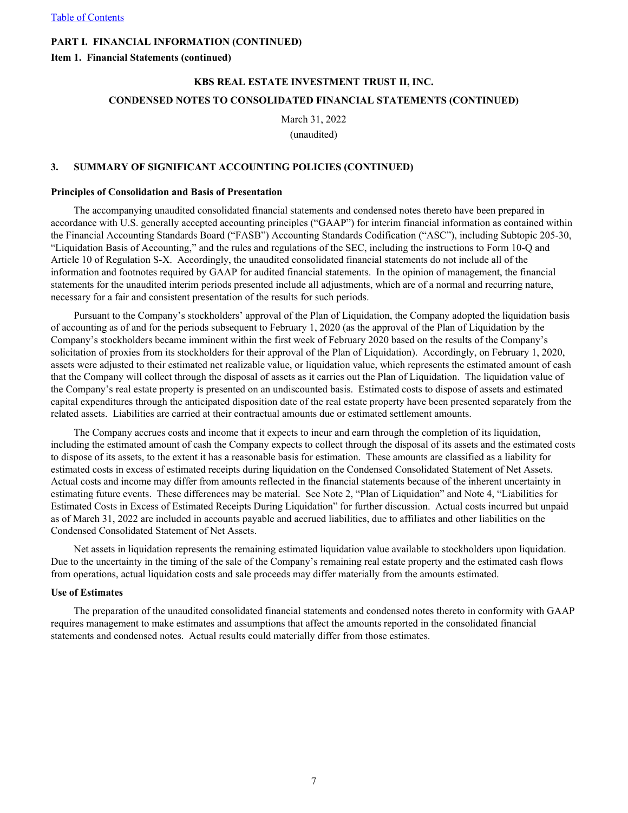**Item 1. Financial Statements (continued)**

# **KBS REAL ESTATE INVESTMENT TRUST II, INC. CONDENSED NOTES TO CONSOLIDATED FINANCIAL STATEMENTS (CONTINUED)**

March 31, 2022 (unaudited)

#### **3. SUMMARY OF SIGNIFICANT ACCOUNTING POLICIES (CONTINUED)**

#### **Principles of Consolidation and Basis of Presentation**

The accompanying unaudited consolidated financial statements and condensed notes thereto have been prepared in accordance with U.S. generally accepted accounting principles ("GAAP") for interim financial information as contained within the Financial Accounting Standards Board ("FASB") Accounting Standards Codification ("ASC"), including Subtopic 205-30, "Liquidation Basis of Accounting," and the rules and regulations of the SEC, including the instructions to Form 10-Q and Article 10 of Regulation S-X. Accordingly, the unaudited consolidated financial statements do not include all of the information and footnotes required by GAAP for audited financial statements. In the opinion of management, the financial statements for the unaudited interim periods presented include all adjustments, which are of a normal and recurring nature, necessary for a fair and consistent presentation of the results for such periods.

Pursuant to the Company's stockholders' approval of the Plan of Liquidation, the Company adopted the liquidation basis of accounting as of and for the periods subsequent to February 1, 2020 (as the approval of the Plan of Liquidation by the Company's stockholders became imminent within the first week of February 2020 based on the results of the Company's solicitation of proxies from its stockholders for their approval of the Plan of Liquidation). Accordingly, on February 1, 2020, assets were adjusted to their estimated net realizable value, or liquidation value, which represents the estimated amount of cash that the Company will collect through the disposal of assets as it carries out the Plan of Liquidation. The liquidation value of the Company's real estate property is presented on an undiscounted basis. Estimated costs to dispose of assets and estimated capital expenditures through the anticipated disposition date of the real estate property have been presented separately from the related assets. Liabilities are carried at their contractual amounts due or estimated settlement amounts.

The Company accrues costs and income that it expects to incur and earn through the completion of its liquidation, including the estimated amount of cash the Company expects to collect through the disposal of its assets and the estimated costs to dispose of its assets, to the extent it has a reasonable basis for estimation. These amounts are classified as a liability for estimated costs in excess of estimated receipts during liquidation on the Condensed Consolidated Statement of Net Assets. Actual costs and income may differ from amounts reflected in the financial statements because of the inherent uncertainty in estimating future events. These differences may be material. See Note 2, "Plan of Liquidation" and Note 4, "Liabilities for Estimated Costs in Excess of Estimated Receipts During Liquidation" for further discussion. Actual costs incurred but unpaid as of March 31, 2022 are included in accounts payable and accrued liabilities, due to affiliates and other liabilities on the Condensed Consolidated Statement of Net Assets.

Net assets in liquidation represents the remaining estimated liquidation value available to stockholders upon liquidation. Due to the uncertainty in the timing of the sale of the Company's remaining real estate property and the estimated cash flows from operations, actual liquidation costs and sale proceeds may differ materially from the amounts estimated.

#### **Use of Estimates**

The preparation of the unaudited consolidated financial statements and condensed notes thereto in conformity with GAAP requires management to make estimates and assumptions that affect the amounts reported in the consolidated financial statements and condensed notes. Actual results could materially differ from those estimates.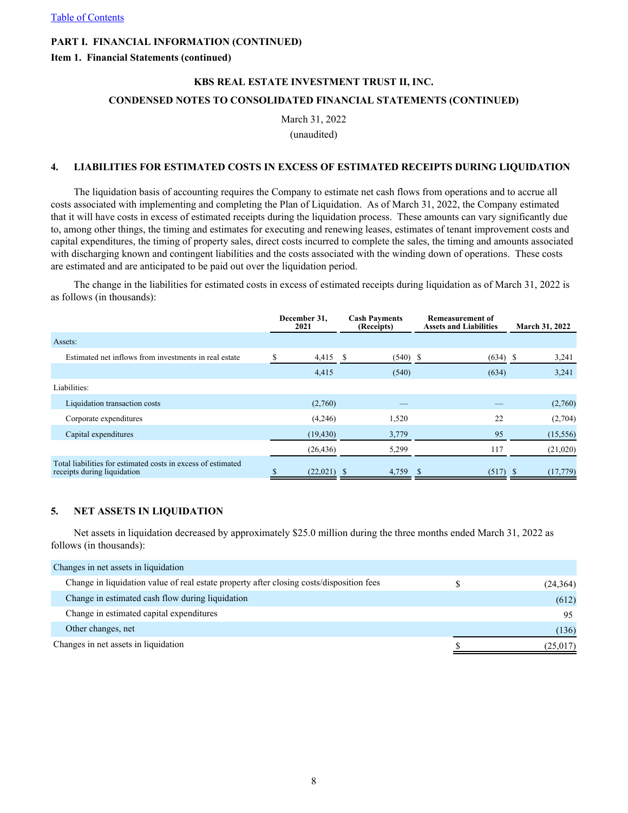#### **Item 1. Financial Statements (continued)**

# **KBS REAL ESTATE INVESTMENT TRUST II, INC. CONDENSED NOTES TO CONSOLIDATED FINANCIAL STATEMENTS (CONTINUED)**

March 31, 2022 (unaudited)

# **4. LIABILITIES FOR ESTIMATED COSTS IN EXCESS OF ESTIMATED RECEIPTS DURING LIQUIDATION**

The liquidation basis of accounting requires the Company to estimate net cash flows from operations and to accrue all costs associated with implementing and completing the Plan of Liquidation. As of March 31, 2022, the Company estimated that it will have costs in excess of estimated receipts during the liquidation process. These amounts can vary significantly due to, among other things, the timing and estimates for executing and renewing leases, estimates of tenant improvement costs and capital expenditures, the timing of property sales, direct costs incurred to complete the sales, the timing and amounts associated with discharging known and contingent liabilities and the costs associated with the winding down of operations. These costs are estimated and are anticipated to be paid out over the liquidation period.

The change in the liabilities for estimated costs in excess of estimated receipts during liquidation as of March 31, 2022 is as follows (in thousands):

|                                                                                             | December 31,<br>2021 | <b>Cash Payments</b><br>(Receipts) | <b>Remeasurement of</b><br><b>Assets and Liabilities</b> | <b>March 31, 2022</b> |  |
|---------------------------------------------------------------------------------------------|----------------------|------------------------------------|----------------------------------------------------------|-----------------------|--|
| Assets:                                                                                     |                      |                                    |                                                          |                       |  |
| Estimated net inflows from investments in real estate                                       | $4,415$ \$           | $(540)$ \$                         | $(634)$ \$                                               | 3,241                 |  |
|                                                                                             | 4,415                | (540)                              | (634)                                                    | 3,241                 |  |
| Liabilities:                                                                                |                      |                                    |                                                          |                       |  |
| Liquidation transaction costs                                                               | (2,760)              |                                    |                                                          | (2,760)               |  |
| Corporate expenditures                                                                      | (4,246)              | 1,520                              | 22                                                       | (2,704)               |  |
| Capital expenditures                                                                        | (19, 430)            | 3,779                              | 95                                                       | (15, 556)             |  |
|                                                                                             | (26, 436)            | 5,299                              | 117                                                      | (21,020)              |  |
| Total liabilities for estimated costs in excess of estimated<br>receipts during liquidation | $(22,021)$ \$        | 4,759                              | $(517)$ \$                                               | (17, 779)             |  |

## **5. NET ASSETS IN LIQUIDATION**

Net assets in liquidation decreased by approximately \$25.0 million during the three months ended March 31, 2022 as follows (in thousands):

| Changes in net assets in liquidation                                                     |           |
|------------------------------------------------------------------------------------------|-----------|
| Change in liquidation value of real estate property after closing costs/disposition fees | (24, 364) |
| Change in estimated cash flow during liquidation                                         | (612)     |
| Change in estimated capital expenditures                                                 | 95        |
| Other changes, net                                                                       | (136)     |
| Changes in net assets in liquidation                                                     | (25, 017) |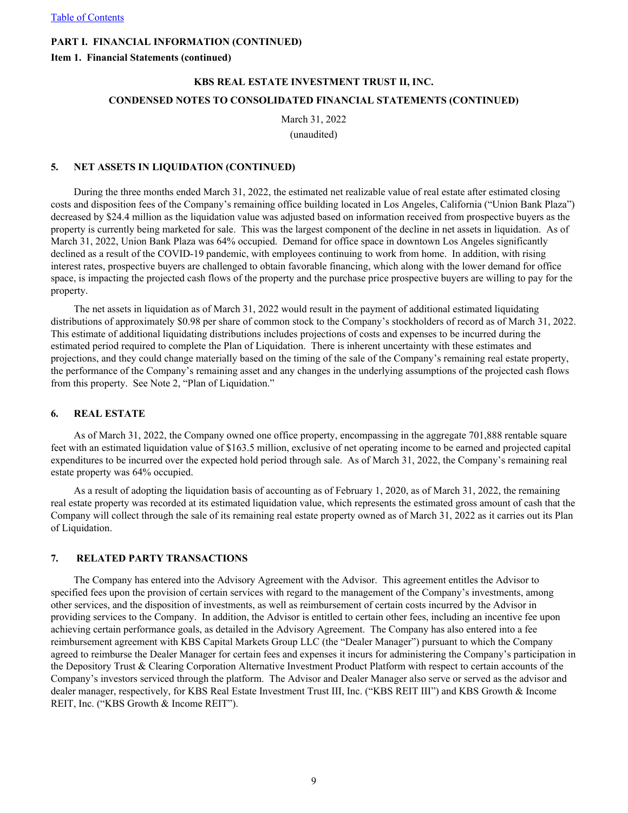**Item 1. Financial Statements (continued)**

# **KBS REAL ESTATE INVESTMENT TRUST II, INC. CONDENSED NOTES TO CONSOLIDATED FINANCIAL STATEMENTS (CONTINUED)**

March 31, 2022 (unaudited)

#### **5. NET ASSETS IN LIQUIDATION (CONTINUED)**

During the three months ended March 31, 2022, the estimated net realizable value of real estate after estimated closing costs and disposition fees of the Company's remaining office building located in Los Angeles, California ("Union Bank Plaza") decreased by \$24.4 million as the liquidation value was adjusted based on information received from prospective buyers as the property is currently being marketed for sale. This was the largest component of the decline in net assets in liquidation. As of March 31, 2022, Union Bank Plaza was 64% occupied. Demand for office space in downtown Los Angeles significantly declined as a result of the COVID-19 pandemic, with employees continuing to work from home. In addition, with rising interest rates, prospective buyers are challenged to obtain favorable financing, which along with the lower demand for office space, is impacting the projected cash flows of the property and the purchase price prospective buyers are willing to pay for the property.

The net assets in liquidation as of March 31, 2022 would result in the payment of additional estimated liquidating distributions of approximately \$0.98 per share of common stock to the Company's stockholders of record as of March 31, 2022. This estimate of additional liquidating distributions includes projections of costs and expenses to be incurred during the estimated period required to complete the Plan of Liquidation. There is inherent uncertainty with these estimates and projections, and they could change materially based on the timing of the sale of the Company's remaining real estate property, the performance of the Company's remaining asset and any changes in the underlying assumptions of the projected cash flows from this property. See Note 2, "Plan of Liquidation."

#### **6. REAL ESTATE**

As of March 31, 2022, the Company owned one office property, encompassing in the aggregate 701,888 rentable square feet with an estimated liquidation value of \$163.5 million, exclusive of net operating income to be earned and projected capital expenditures to be incurred over the expected hold period through sale. As of March 31, 2022, the Company's remaining real estate property was 64% occupied.

As a result of adopting the liquidation basis of accounting as of February 1, 2020, as of March 31, 2022, the remaining real estate property was recorded at its estimated liquidation value, which represents the estimated gross amount of cash that the Company will collect through the sale of its remaining real estate property owned as of March 31, 2022 as it carries out its Plan of Liquidation.

#### **7. RELATED PARTY TRANSACTIONS**

The Company has entered into the Advisory Agreement with the Advisor. This agreement entitles the Advisor to specified fees upon the provision of certain services with regard to the management of the Company's investments, among other services, and the disposition of investments, as well as reimbursement of certain costs incurred by the Advisor in providing services to the Company. In addition, the Advisor is entitled to certain other fees, including an incentive fee upon achieving certain performance goals, as detailed in the Advisory Agreement. The Company has also entered into a fee reimbursement agreement with KBS Capital Markets Group LLC (the "Dealer Manager") pursuant to which the Company agreed to reimburse the Dealer Manager for certain fees and expenses it incurs for administering the Company's participation in the Depository Trust & Clearing Corporation Alternative Investment Product Platform with respect to certain accounts of the Company's investors serviced through the platform. The Advisor and Dealer Manager also serve or served as the advisor and dealer manager, respectively, for KBS Real Estate Investment Trust III, Inc. ("KBS REIT III") and KBS Growth & Income REIT, Inc. ("KBS Growth & Income REIT").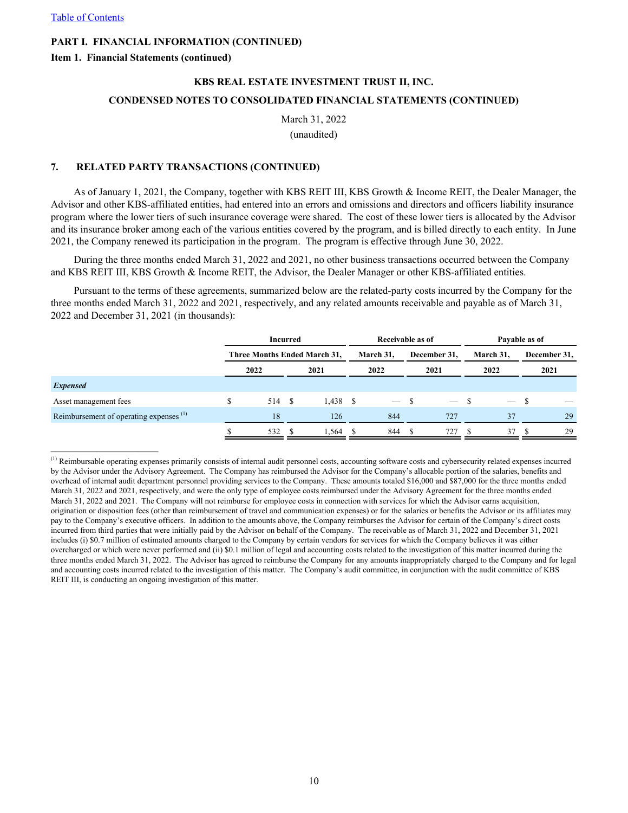**Item 1. Financial Statements (continued)**

# **KBS REAL ESTATE INVESTMENT TRUST II, INC. CONDENSED NOTES TO CONSOLIDATED FINANCIAL STATEMENTS (CONTINUED)**

March 31, 2022 (unaudited)

#### **7. RELATED PARTY TRANSACTIONS (CONTINUED)**

As of January 1, 2021, the Company, together with KBS REIT III, KBS Growth & Income REIT, the Dealer Manager, the Advisor and other KBS-affiliated entities, had entered into an errors and omissions and directors and officers liability insurance program where the lower tiers of such insurance coverage were shared. The cost of these lower tiers is allocated by the Advisor and its insurance broker among each of the various entities covered by the program, and is billed directly to each entity. In June 2021, the Company renewed its participation in the program. The program is effective through June 30, 2022.

During the three months ended March 31, 2022 and 2021, no other business transactions occurred between the Company and KBS REIT III, KBS Growth & Income REIT, the Advisor, the Dealer Manager or other KBS-affiliated entities.

Pursuant to the terms of these agreements, summarized below are the related-party costs incurred by the Company for the three months ended March 31, 2022 and 2021, respectively, and any related amounts receivable and payable as of March 31, 2022 and December 31, 2021 (in thousands):

|                                                    | <b>Incurred</b> |     |     | Receivable as of             |  |                          |  | Payable as of            |  |           |    |              |  |
|----------------------------------------------------|-----------------|-----|-----|------------------------------|--|--------------------------|--|--------------------------|--|-----------|----|--------------|--|
|                                                    |                 |     |     | Three Months Ended March 31, |  | March 31,                |  | December 31.             |  | March 31. |    | December 31, |  |
|                                                    | 2022            |     |     | 2021                         |  | 2022                     |  | 2021                     |  | 2022      |    | 2021         |  |
| <b>Expensed</b>                                    |                 |     |     |                              |  |                          |  |                          |  |           |    |              |  |
| Asset management fees                              |                 | 514 | - S | $1,438$ \$                   |  | $\overline{\phantom{a}}$ |  | $\overline{\phantom{0}}$ |  |           | -S |              |  |
| Reimbursement of operating expenses <sup>(1)</sup> |                 | 18  |     | 126                          |  | 844                      |  | 727                      |  | 37        |    | 29           |  |
|                                                    |                 | 532 |     | 1.564                        |  | 844                      |  | $72^{\circ}$             |  | 37        |    | 29           |  |

 $<sup>(1)</sup>$  Reimbursable operating expenses primarily consists of internal audit personnel costs, accounting software costs and cybersecurity related expenses incurred</sup> by the Advisor under the Advisory Agreement. The Company has reimbursed the Advisor for the Company's allocable portion of the salaries, benefits and overhead of internal audit department personnel providing services to the Company. These amounts totaled \$16,000 and \$87,000 for the three months ended March 31, 2022 and 2021, respectively, and were the only type of employee costs reimbursed under the Advisory Agreement for the three months ended March 31, 2022 and 2021. The Company will not reimburse for employee costs in connection with services for which the Advisor earns acquisition, origination or disposition fees (other than reimbursement of travel and communication expenses) or for the salaries or benefits the Advisor or its affiliates may pay to the Company's executive officers. In addition to the amounts above, the Company reimburses the Advisor for certain of the Company's direct costs incurred from third parties that were initially paid by the Advisor on behalf of the Company. The receivable as of March 31, 2022 and December 31, 2021 includes (i) \$0.7 million of estimated amounts charged to the Company by certain vendors for services for which the Company believes it was either overcharged or which were never performed and (ii) \$0.1 million of legal and accounting costs related to the investigation of this matter incurred during the three months ended March 31, 2022. The Advisor has agreed to reimburse the Company for any amounts inappropriately charged to the Company and for legal and accounting costs incurred related to the investigation of this matter. The Company's audit committee, in conjunction with the audit committee of KBS REIT III, is conducting an ongoing investigation of this matter.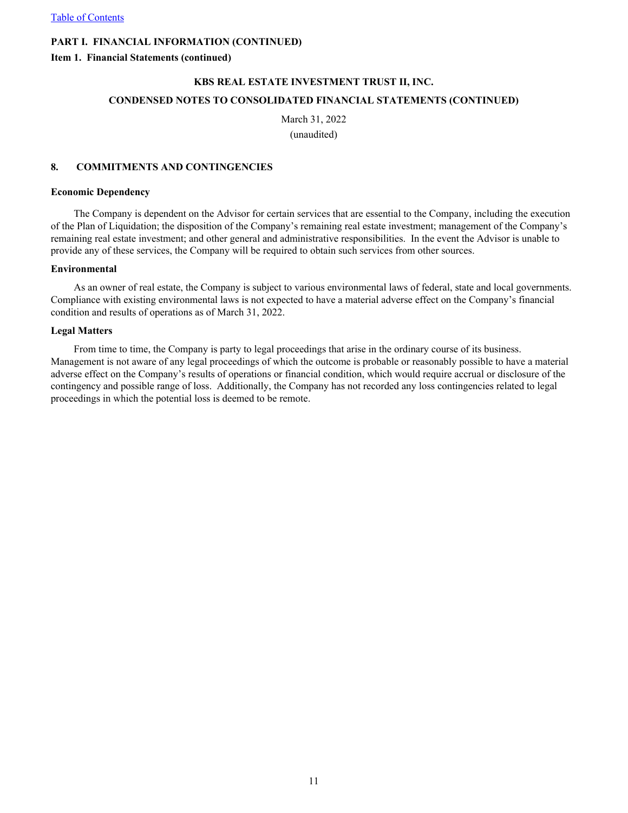**Item 1. Financial Statements (continued)**

# **KBS REAL ESTATE INVESTMENT TRUST II, INC. CONDENSED NOTES TO CONSOLIDATED FINANCIAL STATEMENTS (CONTINUED)**

March 31, 2022 (unaudited)

#### **8. COMMITMENTS AND CONTINGENCIES**

#### **Economic Dependency**

The Company is dependent on the Advisor for certain services that are essential to the Company, including the execution of the Plan of Liquidation; the disposition of the Company's remaining real estate investment; management of the Company's remaining real estate investment; and other general and administrative responsibilities. In the event the Advisor is unable to provide any of these services, the Company will be required to obtain such services from other sources.

#### **Environmental**

As an owner of real estate, the Company is subject to various environmental laws of federal, state and local governments. Compliance with existing environmental laws is not expected to have a material adverse effect on the Company's financial condition and results of operations as of March 31, 2022.

#### **Legal Matters**

From time to time, the Company is party to legal proceedings that arise in the ordinary course of its business. Management is not aware of any legal proceedings of which the outcome is probable or reasonably possible to have a material adverse effect on the Company's results of operations or financial condition, which would require accrual or disclosure of the contingency and possible range of loss. Additionally, the Company has not recorded any loss contingencies related to legal proceedings in which the potential loss is deemed to be remote.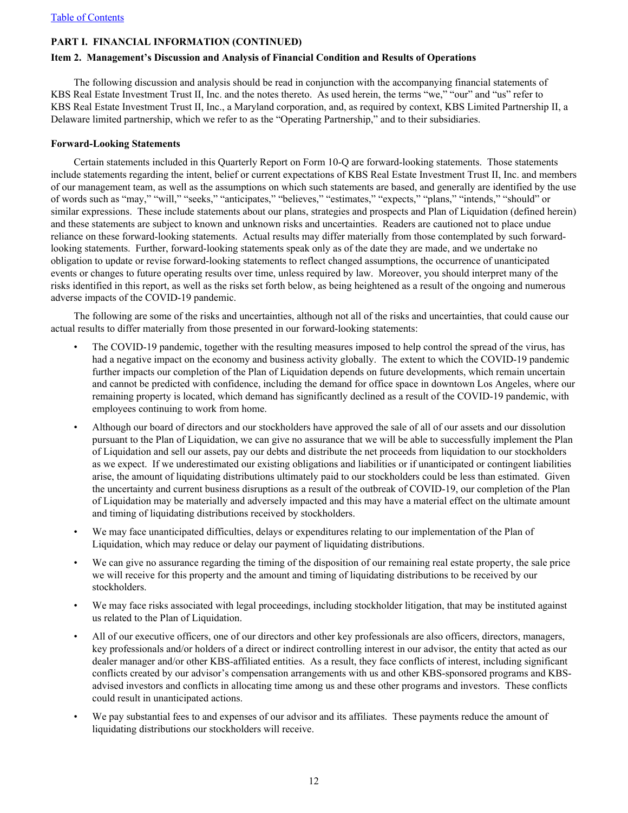#### <span id="page-12-0"></span>**Item 2. Management's Discussion and Analysis of Financial Condition and Results of Operations**

The following discussion and analysis should be read in conjunction with the accompanying financial statements of KBS Real Estate Investment Trust II, Inc. and the notes thereto. As used herein, the terms "we," "our" and "us" refer to KBS Real Estate Investment Trust II, Inc., a Maryland corporation, and, as required by context, KBS Limited Partnership II, a Delaware limited partnership, which we refer to as the "Operating Partnership," and to their subsidiaries.

#### **Forward-Looking Statements**

Certain statements included in this Quarterly Report on Form 10-Q are forward-looking statements. Those statements include statements regarding the intent, belief or current expectations of KBS Real Estate Investment Trust II, Inc. and members of our management team, as well as the assumptions on which such statements are based, and generally are identified by the use of words such as "may," "will," "seeks," "anticipates," "believes," "estimates," "expects," "plans," "intends," "should" or similar expressions. These include statements about our plans, strategies and prospects and Plan of Liquidation (defined herein) and these statements are subject to known and unknown risks and uncertainties. Readers are cautioned not to place undue reliance on these forward-looking statements. Actual results may differ materially from those contemplated by such forwardlooking statements. Further, forward-looking statements speak only as of the date they are made, and we undertake no obligation to update or revise forward-looking statements to reflect changed assumptions, the occurrence of unanticipated events or changes to future operating results over time, unless required by law. Moreover, you should interpret many of the risks identified in this report, as well as the risks set forth below, as being heightened as a result of the ongoing and numerous adverse impacts of the COVID-19 pandemic.

The following are some of the risks and uncertainties, although not all of the risks and uncertainties, that could cause our actual results to differ materially from those presented in our forward-looking statements:

- The COVID-19 pandemic, together with the resulting measures imposed to help control the spread of the virus, has had a negative impact on the economy and business activity globally. The extent to which the COVID-19 pandemic further impacts our completion of the Plan of Liquidation depends on future developments, which remain uncertain and cannot be predicted with confidence, including the demand for office space in downtown Los Angeles, where our remaining property is located, which demand has significantly declined as a result of the COVID-19 pandemic, with employees continuing to work from home.
- Although our board of directors and our stockholders have approved the sale of all of our assets and our dissolution pursuant to the Plan of Liquidation, we can give no assurance that we will be able to successfully implement the Plan of Liquidation and sell our assets, pay our debts and distribute the net proceeds from liquidation to our stockholders as we expect. If we underestimated our existing obligations and liabilities or if unanticipated or contingent liabilities arise, the amount of liquidating distributions ultimately paid to our stockholders could be less than estimated. Given the uncertainty and current business disruptions as a result of the outbreak of COVID-19, our completion of the Plan of Liquidation may be materially and adversely impacted and this may have a material effect on the ultimate amount and timing of liquidating distributions received by stockholders.
- We may face unanticipated difficulties, delays or expenditures relating to our implementation of the Plan of Liquidation, which may reduce or delay our payment of liquidating distributions.
- We can give no assurance regarding the timing of the disposition of our remaining real estate property, the sale price we will receive for this property and the amount and timing of liquidating distributions to be received by our stockholders.
- We may face risks associated with legal proceedings, including stockholder litigation, that may be instituted against us related to the Plan of Liquidation.
- All of our executive officers, one of our directors and other key professionals are also officers, directors, managers, key professionals and/or holders of a direct or indirect controlling interest in our advisor, the entity that acted as our dealer manager and/or other KBS-affiliated entities. As a result, they face conflicts of interest, including significant conflicts created by our advisor's compensation arrangements with us and other KBS-sponsored programs and KBSadvised investors and conflicts in allocating time among us and these other programs and investors. These conflicts could result in unanticipated actions.
- We pay substantial fees to and expenses of our advisor and its affiliates. These payments reduce the amount of liquidating distributions our stockholders will receive.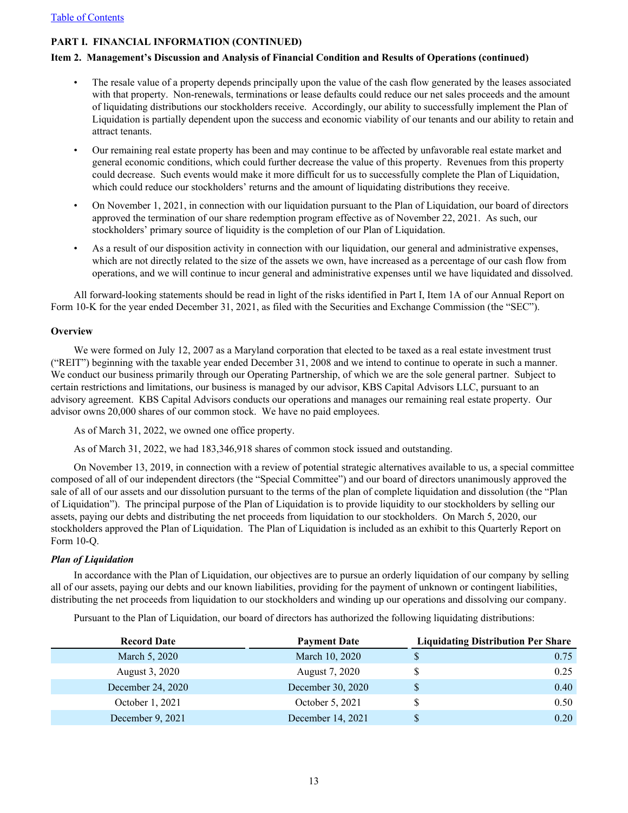#### **Item 2. Management's Discussion and Analysis of Financial Condition and Results of Operations (continued)**

- The resale value of a property depends principally upon the value of the cash flow generated by the leases associated with that property. Non-renewals, terminations or lease defaults could reduce our net sales proceeds and the amount of liquidating distributions our stockholders receive. Accordingly, our ability to successfully implement the Plan of Liquidation is partially dependent upon the success and economic viability of our tenants and our ability to retain and attract tenants.
- Our remaining real estate property has been and may continue to be affected by unfavorable real estate market and general economic conditions, which could further decrease the value of this property. Revenues from this property could decrease. Such events would make it more difficult for us to successfully complete the Plan of Liquidation, which could reduce our stockholders' returns and the amount of liquidating distributions they receive.
- On November 1, 2021, in connection with our liquidation pursuant to the Plan of Liquidation, our board of directors approved the termination of our share redemption program effective as of November 22, 2021. As such, our stockholders' primary source of liquidity is the completion of our Plan of Liquidation.
- As a result of our disposition activity in connection with our liquidation, our general and administrative expenses, which are not directly related to the size of the assets we own, have increased as a percentage of our cash flow from operations, and we will continue to incur general and administrative expenses until we have liquidated and dissolved.

All forward-looking statements should be read in light of the risks identified in Part I, Item 1A of our Annual Report on Form 10-K for the year ended December 31, 2021, as filed with the Securities and Exchange Commission (the "SEC").

#### **Overview**

We were formed on July 12, 2007 as a Maryland corporation that elected to be taxed as a real estate investment trust ("REIT") beginning with the taxable year ended December 31, 2008 and we intend to continue to operate in such a manner. We conduct our business primarily through our Operating Partnership, of which we are the sole general partner. Subject to certain restrictions and limitations, our business is managed by our advisor, KBS Capital Advisors LLC, pursuant to an advisory agreement. KBS Capital Advisors conducts our operations and manages our remaining real estate property. Our advisor owns 20,000 shares of our common stock. We have no paid employees.

As of March 31, 2022, we owned one office property.

As of March 31, 2022, we had 183,346,918 shares of common stock issued and outstanding.

On November 13, 2019, in connection with a review of potential strategic alternatives available to us, a special committee composed of all of our independent directors (the "Special Committee") and our board of directors unanimously approved the sale of all of our assets and our dissolution pursuant to the terms of the plan of complete liquidation and dissolution (the "Plan of Liquidation"). The principal purpose of the Plan of Liquidation is to provide liquidity to our stockholders by selling our assets, paying our debts and distributing the net proceeds from liquidation to our stockholders. On March 5, 2020, our stockholders approved the Plan of Liquidation. The Plan of Liquidation is included as an exhibit to this Quarterly Report on Form 10-Q.

#### *Plan of Liquidation*

In accordance with the Plan of Liquidation, our objectives are to pursue an orderly liquidation of our company by selling all of our assets, paying our debts and our known liabilities, providing for the payment of unknown or contingent liabilities, distributing the net proceeds from liquidation to our stockholders and winding up our operations and dissolving our company.

Pursuant to the Plan of Liquidation, our board of directors has authorized the following liquidating distributions:

| <b>Record Date</b> | <b>Payment Date</b> | <b>Liquidating Distribution Per Share</b> |
|--------------------|---------------------|-------------------------------------------|
| March 5, 2020      | March 10, 2020      | 0.75                                      |
| August 3, 2020     | August 7, 2020      | 0.25                                      |
| December 24, 2020  | December 30, 2020   | 0.40                                      |
| October 1, 2021    | October 5, 2021     | 0.50                                      |
| December 9, 2021   | December 14, 2021   | 0.20                                      |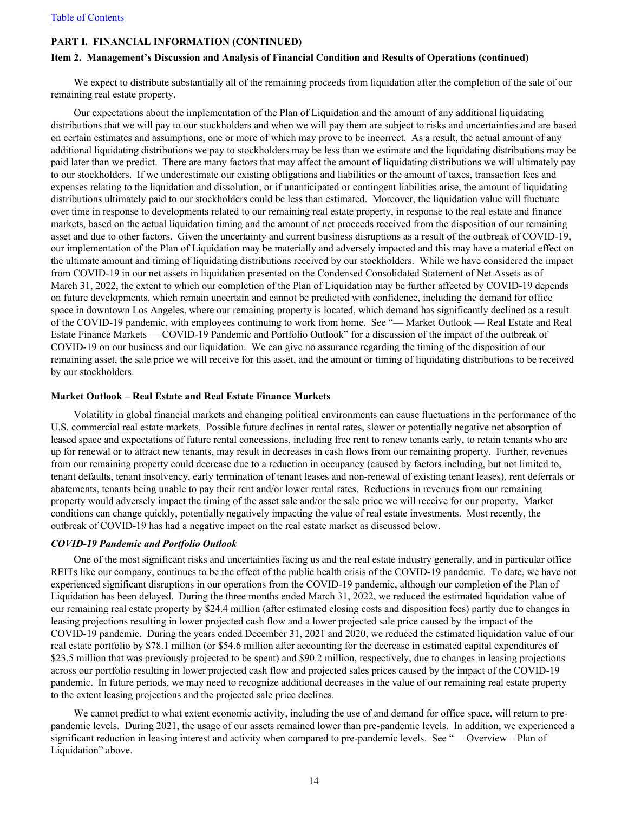#### **Item 2. Management's Discussion and Analysis of Financial Condition and Results of Operations (continued)**

We expect to distribute substantially all of the remaining proceeds from liquidation after the completion of the sale of our remaining real estate property.

Our expectations about the implementation of the Plan of Liquidation and the amount of any additional liquidating distributions that we will pay to our stockholders and when we will pay them are subject to risks and uncertainties and are based on certain estimates and assumptions, one or more of which may prove to be incorrect. As a result, the actual amount of any additional liquidating distributions we pay to stockholders may be less than we estimate and the liquidating distributions may be paid later than we predict. There are many factors that may affect the amount of liquidating distributions we will ultimately pay to our stockholders. If we underestimate our existing obligations and liabilities or the amount of taxes, transaction fees and expenses relating to the liquidation and dissolution, or if unanticipated or contingent liabilities arise, the amount of liquidating distributions ultimately paid to our stockholders could be less than estimated. Moreover, the liquidation value will fluctuate over time in response to developments related to our remaining real estate property, in response to the real estate and finance markets, based on the actual liquidation timing and the amount of net proceeds received from the disposition of our remaining asset and due to other factors. Given the uncertainty and current business disruptions as a result of the outbreak of COVID-19, our implementation of the Plan of Liquidation may be materially and adversely impacted and this may have a material effect on the ultimate amount and timing of liquidating distributions received by our stockholders. While we have considered the impact from COVID-19 in our net assets in liquidation presented on the Condensed Consolidated Statement of Net Assets as of March 31, 2022, the extent to which our completion of the Plan of Liquidation may be further affected by COVID-19 depends on future developments, which remain uncertain and cannot be predicted with confidence, including the demand for office space in downtown Los Angeles, where our remaining property is located, which demand has significantly declined as a result of the COVID-19 pandemic, with employees continuing to work from home. See "— Market Outlook — Real Estate and Real Estate Finance Markets — COVID-19 Pandemic and Portfolio Outlook" for a discussion of the impact of the outbreak of COVID-19 on our business and our liquidation. We can give no assurance regarding the timing of the disposition of our remaining asset, the sale price we will receive for this asset, and the amount or timing of liquidating distributions to be received by our stockholders.

#### **Market Outlook – Real Estate and Real Estate Finance Markets**

Volatility in global financial markets and changing political environments can cause fluctuations in the performance of the U.S. commercial real estate markets. Possible future declines in rental rates, slower or potentially negative net absorption of leased space and expectations of future rental concessions, including free rent to renew tenants early, to retain tenants who are up for renewal or to attract new tenants, may result in decreases in cash flows from our remaining property. Further, revenues from our remaining property could decrease due to a reduction in occupancy (caused by factors including, but not limited to, tenant defaults, tenant insolvency, early termination of tenant leases and non-renewal of existing tenant leases), rent deferrals or abatements, tenants being unable to pay their rent and/or lower rental rates. Reductions in revenues from our remaining property would adversely impact the timing of the asset sale and/or the sale price we will receive for our property. Market conditions can change quickly, potentially negatively impacting the value of real estate investments. Most recently, the outbreak of COVID-19 has had a negative impact on the real estate market as discussed below.

#### *COVID-19 Pandemic and Portfolio Outlook*

One of the most significant risks and uncertainties facing us and the real estate industry generally, and in particular office REITs like our company, continues to be the effect of the public health crisis of the COVID-19 pandemic. To date, we have not experienced significant disruptions in our operations from the COVID-19 pandemic, although our completion of the Plan of Liquidation has been delayed. During the three months ended March 31, 2022, we reduced the estimated liquidation value of our remaining real estate property by \$24.4 million (after estimated closing costs and disposition fees) partly due to changes in leasing projections resulting in lower projected cash flow and a lower projected sale price caused by the impact of the COVID-19 pandemic. During the years ended December 31, 2021 and 2020, we reduced the estimated liquidation value of our real estate portfolio by \$78.1 million (or \$54.6 million after accounting for the decrease in estimated capital expenditures of \$23.5 million that was previously projected to be spent) and \$90.2 million, respectively, due to changes in leasing projections across our portfolio resulting in lower projected cash flow and projected sales prices caused by the impact of the COVID-19 pandemic. In future periods, we may need to recognize additional decreases in the value of our remaining real estate property to the extent leasing projections and the projected sale price declines.

We cannot predict to what extent economic activity, including the use of and demand for office space, will return to prepandemic levels. During 2021, the usage of our assets remained lower than pre-pandemic levels. In addition, we experienced a significant reduction in leasing interest and activity when compared to pre-pandemic levels. See "— Overview – Plan of Liquidation" above.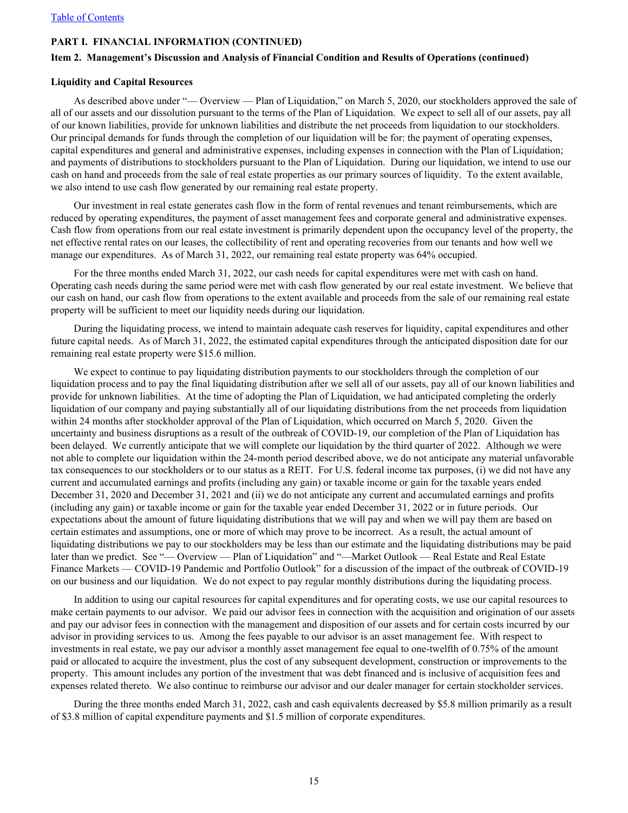#### **Item 2. Management's Discussion and Analysis of Financial Condition and Results of Operations (continued)**

#### **Liquidity and Capital Resources**

As described above under "— Overview — Plan of Liquidation," on March 5, 2020, our stockholders approved the sale of all of our assets and our dissolution pursuant to the terms of the Plan of Liquidation. We expect to sell all of our assets, pay all of our known liabilities, provide for unknown liabilities and distribute the net proceeds from liquidation to our stockholders. Our principal demands for funds through the completion of our liquidation will be for: the payment of operating expenses, capital expenditures and general and administrative expenses, including expenses in connection with the Plan of Liquidation; and payments of distributions to stockholders pursuant to the Plan of Liquidation. During our liquidation, we intend to use our cash on hand and proceeds from the sale of real estate properties as our primary sources of liquidity. To the extent available, we also intend to use cash flow generated by our remaining real estate property.

Our investment in real estate generates cash flow in the form of rental revenues and tenant reimbursements, which are reduced by operating expenditures, the payment of asset management fees and corporate general and administrative expenses. Cash flow from operations from our real estate investment is primarily dependent upon the occupancy level of the property, the net effective rental rates on our leases, the collectibility of rent and operating recoveries from our tenants and how well we manage our expenditures. As of March 31, 2022, our remaining real estate property was 64% occupied.

For the three months ended March 31, 2022, our cash needs for capital expenditures were met with cash on hand. Operating cash needs during the same period were met with cash flow generated by our real estate investment. We believe that our cash on hand, our cash flow from operations to the extent available and proceeds from the sale of our remaining real estate property will be sufficient to meet our liquidity needs during our liquidation.

During the liquidating process, we intend to maintain adequate cash reserves for liquidity, capital expenditures and other future capital needs. As of March 31, 2022, the estimated capital expenditures through the anticipated disposition date for our remaining real estate property were \$15.6 million.

We expect to continue to pay liquidating distribution payments to our stockholders through the completion of our liquidation process and to pay the final liquidating distribution after we sell all of our assets, pay all of our known liabilities and provide for unknown liabilities. At the time of adopting the Plan of Liquidation, we had anticipated completing the orderly liquidation of our company and paying substantially all of our liquidating distributions from the net proceeds from liquidation within 24 months after stockholder approval of the Plan of Liquidation, which occurred on March 5, 2020. Given the uncertainty and business disruptions as a result of the outbreak of COVID-19, our completion of the Plan of Liquidation has been delayed. We currently anticipate that we will complete our liquidation by the third quarter of 2022. Although we were not able to complete our liquidation within the 24-month period described above, we do not anticipate any material unfavorable tax consequences to our stockholders or to our status as a REIT. For U.S. federal income tax purposes, (i) we did not have any current and accumulated earnings and profits (including any gain) or taxable income or gain for the taxable years ended December 31, 2020 and December 31, 2021 and (ii) we do not anticipate any current and accumulated earnings and profits (including any gain) or taxable income or gain for the taxable year ended December 31, 2022 or in future periods. Our expectations about the amount of future liquidating distributions that we will pay and when we will pay them are based on certain estimates and assumptions, one or more of which may prove to be incorrect. As a result, the actual amount of liquidating distributions we pay to our stockholders may be less than our estimate and the liquidating distributions may be paid later than we predict. See "— Overview — Plan of Liquidation" and "—Market Outlook — Real Estate and Real Estate Finance Markets — COVID-19 Pandemic and Portfolio Outlook" for a discussion of the impact of the outbreak of COVID-19 on our business and our liquidation. We do not expect to pay regular monthly distributions during the liquidating process.

In addition to using our capital resources for capital expenditures and for operating costs, we use our capital resources to make certain payments to our advisor. We paid our advisor fees in connection with the acquisition and origination of our assets and pay our advisor fees in connection with the management and disposition of our assets and for certain costs incurred by our advisor in providing services to us. Among the fees payable to our advisor is an asset management fee. With respect to investments in real estate, we pay our advisor a monthly asset management fee equal to one-twelfth of 0.75% of the amount paid or allocated to acquire the investment, plus the cost of any subsequent development, construction or improvements to the property. This amount includes any portion of the investment that was debt financed and is inclusive of acquisition fees and expenses related thereto. We also continue to reimburse our advisor and our dealer manager for certain stockholder services.

During the three months ended March 31, 2022, cash and cash equivalents decreased by \$5.8 million primarily as a result of \$3.8 million of capital expenditure payments and \$1.5 million of corporate expenditures.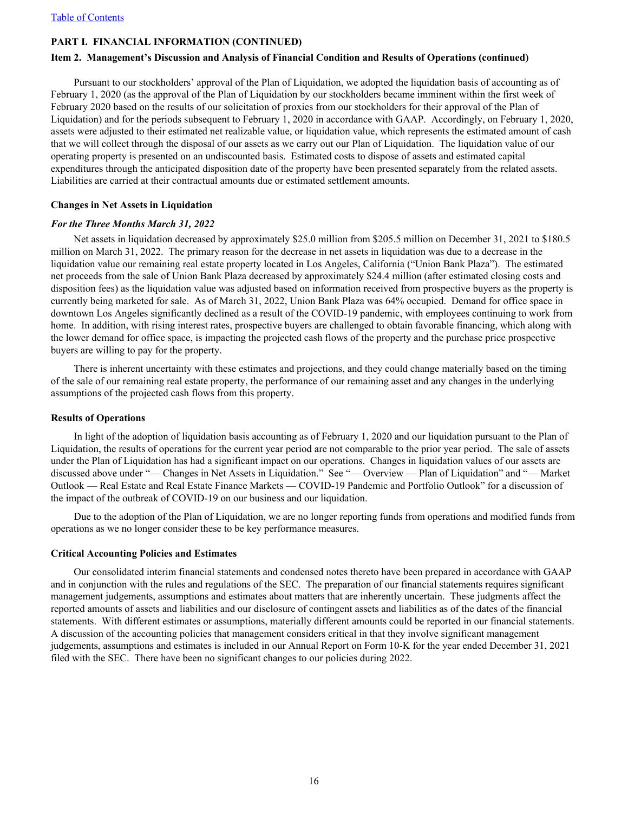#### **Item 2. Management's Discussion and Analysis of Financial Condition and Results of Operations (continued)**

Pursuant to our stockholders' approval of the Plan of Liquidation, we adopted the liquidation basis of accounting as of February 1, 2020 (as the approval of the Plan of Liquidation by our stockholders became imminent within the first week of February 2020 based on the results of our solicitation of proxies from our stockholders for their approval of the Plan of Liquidation) and for the periods subsequent to February 1, 2020 in accordance with GAAP. Accordingly, on February 1, 2020, assets were adjusted to their estimated net realizable value, or liquidation value, which represents the estimated amount of cash that we will collect through the disposal of our assets as we carry out our Plan of Liquidation. The liquidation value of our operating property is presented on an undiscounted basis. Estimated costs to dispose of assets and estimated capital expenditures through the anticipated disposition date of the property have been presented separately from the related assets. Liabilities are carried at their contractual amounts due or estimated settlement amounts.

#### **Changes in Net Assets in Liquidation**

#### *For the Three Months March 31, 2022*

Net assets in liquidation decreased by approximately \$25.0 million from \$205.5 million on December 31, 2021 to \$180.5 million on March 31, 2022. The primary reason for the decrease in net assets in liquidation was due to a decrease in the liquidation value our remaining real estate property located in Los Angeles, California ("Union Bank Plaza"). The estimated net proceeds from the sale of Union Bank Plaza decreased by approximately \$24.4 million (after estimated closing costs and disposition fees) as the liquidation value was adjusted based on information received from prospective buyers as the property is currently being marketed for sale. As of March 31, 2022, Union Bank Plaza was 64% occupied. Demand for office space in downtown Los Angeles significantly declined as a result of the COVID-19 pandemic, with employees continuing to work from home. In addition, with rising interest rates, prospective buyers are challenged to obtain favorable financing, which along with the lower demand for office space, is impacting the projected cash flows of the property and the purchase price prospective buyers are willing to pay for the property.

There is inherent uncertainty with these estimates and projections, and they could change materially based on the timing of the sale of our remaining real estate property, the performance of our remaining asset and any changes in the underlying assumptions of the projected cash flows from this property.

#### **Results of Operations**

In light of the adoption of liquidation basis accounting as of February 1, 2020 and our liquidation pursuant to the Plan of Liquidation, the results of operations for the current year period are not comparable to the prior year period. The sale of assets under the Plan of Liquidation has had a significant impact on our operations. Changes in liquidation values of our assets are discussed above under "— Changes in Net Assets in Liquidation." See "— Overview — Plan of Liquidation" and "— Market Outlook — Real Estate and Real Estate Finance Markets — COVID-19 Pandemic and Portfolio Outlook" for a discussion of the impact of the outbreak of COVID-19 on our business and our liquidation.

Due to the adoption of the Plan of Liquidation, we are no longer reporting funds from operations and modified funds from operations as we no longer consider these to be key performance measures.

#### **Critical Accounting Policies and Estimates**

Our consolidated interim financial statements and condensed notes thereto have been prepared in accordance with GAAP and in conjunction with the rules and regulations of the SEC. The preparation of our financial statements requires significant management judgements, assumptions and estimates about matters that are inherently uncertain. These judgments affect the reported amounts of assets and liabilities and our disclosure of contingent assets and liabilities as of the dates of the financial statements. With different estimates or assumptions, materially different amounts could be reported in our financial statements. A discussion of the accounting policies that management considers critical in that they involve significant management judgements, assumptions and estimates is included in our Annual Report on Form 10-K for the year ended December 31, 2021 filed with the SEC. There have been no significant changes to our policies during 2022.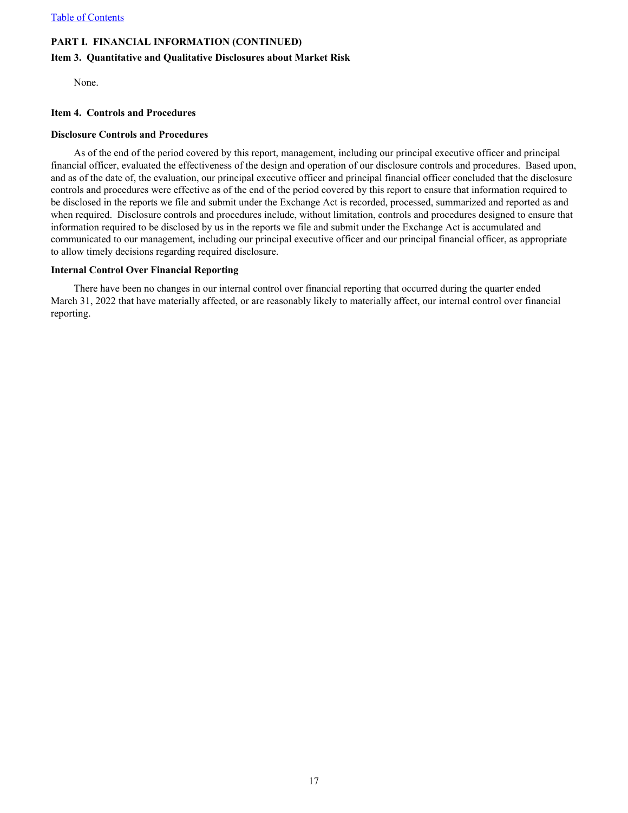#### <span id="page-17-0"></span>**Item 3. Quantitative and Qualitative Disclosures about Market Risk**

None.

#### **Item 4. Controls and Procedures**

#### **Disclosure Controls and Procedures**

As of the end of the period covered by this report, management, including our principal executive officer and principal financial officer, evaluated the effectiveness of the design and operation of our disclosure controls and procedures. Based upon, and as of the date of, the evaluation, our principal executive officer and principal financial officer concluded that the disclosure controls and procedures were effective as of the end of the period covered by this report to ensure that information required to be disclosed in the reports we file and submit under the Exchange Act is recorded, processed, summarized and reported as and when required. Disclosure controls and procedures include, without limitation, controls and procedures designed to ensure that information required to be disclosed by us in the reports we file and submit under the Exchange Act is accumulated and communicated to our management, including our principal executive officer and our principal financial officer, as appropriate to allow timely decisions regarding required disclosure.

#### **Internal Control Over Financial Reporting**

There have been no changes in our internal control over financial reporting that occurred during the quarter ended March 31, 2022 that have materially affected, or are reasonably likely to materially affect, our internal control over financial reporting.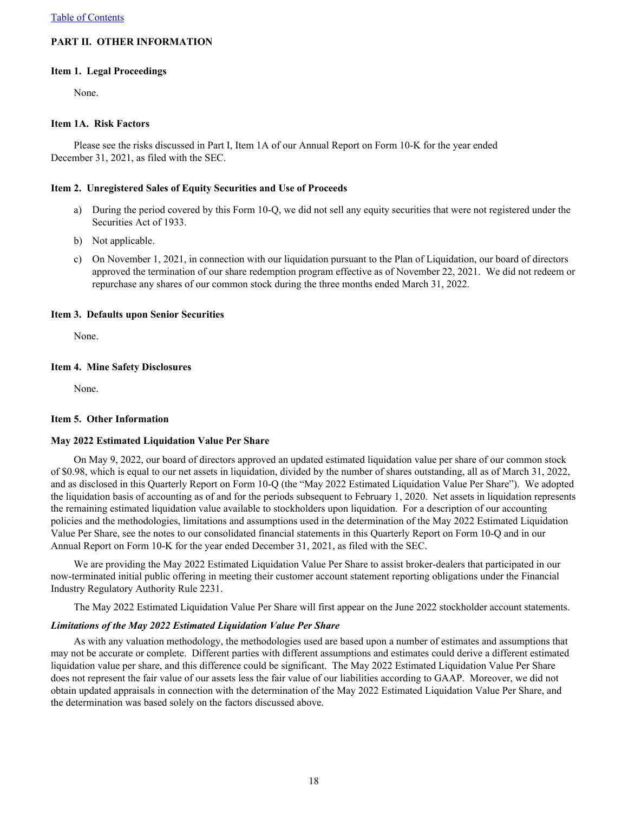## <span id="page-18-0"></span>**PART II. OTHER INFORMATION**

#### **Item 1. Legal Proceedings**

None.

#### **Item 1A. Risk Factors**

Please see the risks discussed in Part I, Item 1A of our Annual Report on Form 10-K for the year ended December 31, 2021, as filed with the SEC.

#### **Item 2. Unregistered Sales of Equity Securities and Use of Proceeds**

- a) During the period covered by this Form 10-Q, we did not sell any equity securities that were not registered under the Securities Act of 1933.
- b) Not applicable.
- c) On November 1, 2021, in connection with our liquidation pursuant to the Plan of Liquidation, our board of directors approved the termination of our share redemption program effective as of November 22, 2021. We did not redeem or repurchase any shares of our common stock during the three months ended March 31, 2022.

#### **Item 3. Defaults upon Senior Securities**

None.

#### **Item 4. Mine Safety Disclosures**

None.

#### **Item 5. Other Information**

#### **May 2022 Estimated Liquidation Value Per Share**

On May 9, 2022, our board of directors approved an updated estimated liquidation value per share of our common stock of \$0.98, which is equal to our net assets in liquidation, divided by the number of shares outstanding, all as of March 31, 2022, and as disclosed in this Quarterly Report on Form 10-Q (the "May 2022 Estimated Liquidation Value Per Share"). We adopted the liquidation basis of accounting as of and for the periods subsequent to February 1, 2020. Net assets in liquidation represents the remaining estimated liquidation value available to stockholders upon liquidation. For a description of our accounting policies and the methodologies, limitations and assumptions used in the determination of the May 2022 Estimated Liquidation Value Per Share, see the notes to our consolidated financial statements in this Quarterly Report on Form 10-Q and in our Annual Report on Form 10-K for the year ended December 31, 2021, as filed with the SEC.

We are providing the May 2022 Estimated Liquidation Value Per Share to assist broker-dealers that participated in our now-terminated initial public offering in meeting their customer account statement reporting obligations under the Financial Industry Regulatory Authority Rule 2231.

The May 2022 Estimated Liquidation Value Per Share will first appear on the June 2022 stockholder account statements.

#### *Limitations of the May 2022 Estimated Liquidation Value Per Share*

As with any valuation methodology, the methodologies used are based upon a number of estimates and assumptions that may not be accurate or complete. Different parties with different assumptions and estimates could derive a different estimated liquidation value per share, and this difference could be significant. The May 2022 Estimated Liquidation Value Per Share does not represent the fair value of our assets less the fair value of our liabilities according to GAAP. Moreover, we did not obtain updated appraisals in connection with the determination of the May 2022 Estimated Liquidation Value Per Share, and the determination was based solely on the factors discussed above.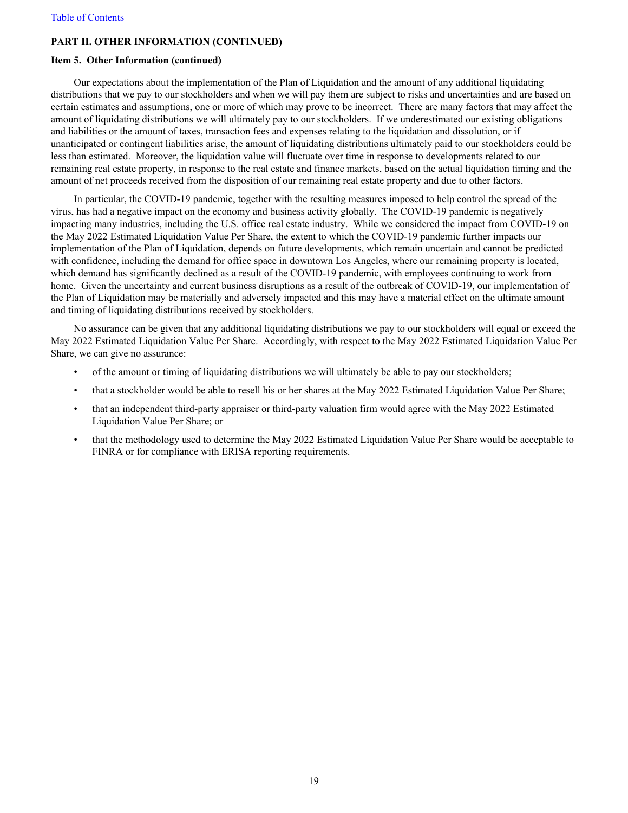### **PART II. OTHER INFORMATION (CONTINUED)**

#### **Item 5. Other Information (continued)**

Our expectations about the implementation of the Plan of Liquidation and the amount of any additional liquidating distributions that we pay to our stockholders and when we will pay them are subject to risks and uncertainties and are based on certain estimates and assumptions, one or more of which may prove to be incorrect. There are many factors that may affect the amount of liquidating distributions we will ultimately pay to our stockholders. If we underestimated our existing obligations and liabilities or the amount of taxes, transaction fees and expenses relating to the liquidation and dissolution, or if unanticipated or contingent liabilities arise, the amount of liquidating distributions ultimately paid to our stockholders could be less than estimated. Moreover, the liquidation value will fluctuate over time in response to developments related to our remaining real estate property, in response to the real estate and finance markets, based on the actual liquidation timing and the amount of net proceeds received from the disposition of our remaining real estate property and due to other factors.

In particular, the COVID-19 pandemic, together with the resulting measures imposed to help control the spread of the virus, has had a negative impact on the economy and business activity globally. The COVID-19 pandemic is negatively impacting many industries, including the U.S. office real estate industry. While we considered the impact from COVID-19 on the May 2022 Estimated Liquidation Value Per Share, the extent to which the COVID-19 pandemic further impacts our implementation of the Plan of Liquidation, depends on future developments, which remain uncertain and cannot be predicted with confidence, including the demand for office space in downtown Los Angeles, where our remaining property is located, which demand has significantly declined as a result of the COVID-19 pandemic, with employees continuing to work from home. Given the uncertainty and current business disruptions as a result of the outbreak of COVID-19, our implementation of the Plan of Liquidation may be materially and adversely impacted and this may have a material effect on the ultimate amount and timing of liquidating distributions received by stockholders.

No assurance can be given that any additional liquidating distributions we pay to our stockholders will equal or exceed the May 2022 Estimated Liquidation Value Per Share. Accordingly, with respect to the May 2022 Estimated Liquidation Value Per Share, we can give no assurance:

- of the amount or timing of liquidating distributions we will ultimately be able to pay our stockholders;
- that a stockholder would be able to resell his or her shares at the May 2022 Estimated Liquidation Value Per Share;
- that an independent third-party appraiser or third-party valuation firm would agree with the May 2022 Estimated Liquidation Value Per Share; or
- that the methodology used to determine the May 2022 Estimated Liquidation Value Per Share would be acceptable to FINRA or for compliance with ERISA reporting requirements.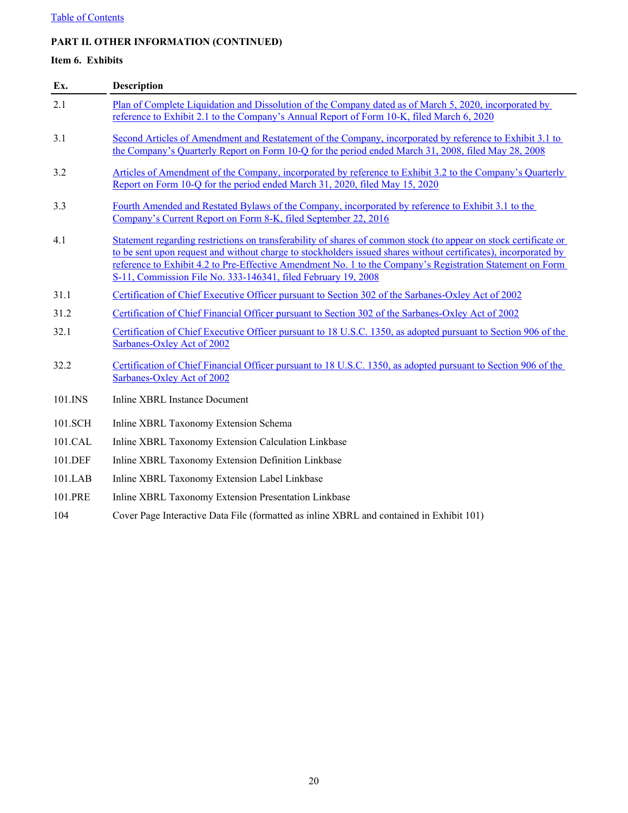## <span id="page-20-0"></span>**PART II. OTHER INFORMATION (CONTINUED)**

## **Item 6. Exhibits**

| Ex.     | <b>Description</b>                                                                                                                                                                                                                                                                                                                                                                                                |
|---------|-------------------------------------------------------------------------------------------------------------------------------------------------------------------------------------------------------------------------------------------------------------------------------------------------------------------------------------------------------------------------------------------------------------------|
| 2.1     | Plan of Complete Liquidation and Dissolution of the Company dated as of March 5, 2020, incorporated by<br>reference to Exhibit 2.1 to the Company's Annual Report of Form 10-K, filed March 6, 2020                                                                                                                                                                                                               |
| 3.1     | Second Articles of Amendment and Restatement of the Company, incorporated by reference to Exhibit 3.1 to<br>the Company's Quarterly Report on Form 10-Q for the period ended March 31, 2008, filed May 28, 2008                                                                                                                                                                                                   |
| 3.2     | Articles of Amendment of the Company, incorporated by reference to Exhibit 3.2 to the Company's Quarterly<br>Report on Form 10-Q for the period ended March 31, 2020, filed May 15, 2020                                                                                                                                                                                                                          |
| 3.3     | Fourth Amended and Restated Bylaws of the Company, incorporated by reference to Exhibit 3.1 to the<br>Company's Current Report on Form 8-K, filed September 22, 2016                                                                                                                                                                                                                                              |
| 4.1     | Statement regarding restrictions on transferability of shares of common stock (to appear on stock certificate or<br>to be sent upon request and without charge to stockholders issued shares without certificates), incorporated by<br>reference to Exhibit 4.2 to Pre-Effective Amendment No. 1 to the Company's Registration Statement on Form<br>S-11, Commission File No. 333-146341, filed February 19, 2008 |
| 31.1    | Certification of Chief Executive Officer pursuant to Section 302 of the Sarbanes-Oxley Act of 2002                                                                                                                                                                                                                                                                                                                |
| 31.2    | Certification of Chief Financial Officer pursuant to Section 302 of the Sarbanes-Oxley Act of 2002                                                                                                                                                                                                                                                                                                                |
| 32.1    | Certification of Chief Executive Officer pursuant to 18 U.S.C. 1350, as adopted pursuant to Section 906 of the<br>Sarbanes-Oxley Act of 2002                                                                                                                                                                                                                                                                      |
| 32.2    | Certification of Chief Financial Officer pursuant to 18 U.S.C. 1350, as adopted pursuant to Section 906 of the<br>Sarbanes-Oxley Act of 2002                                                                                                                                                                                                                                                                      |
| 101.INS | <b>Inline XBRL Instance Document</b>                                                                                                                                                                                                                                                                                                                                                                              |
| 101.SCH | Inline XBRL Taxonomy Extension Schema                                                                                                                                                                                                                                                                                                                                                                             |
| 101.CAL | Inline XBRL Taxonomy Extension Calculation Linkbase                                                                                                                                                                                                                                                                                                                                                               |
| 101.DEF | Inline XBRL Taxonomy Extension Definition Linkbase                                                                                                                                                                                                                                                                                                                                                                |
| 101.LAB | Inline XBRL Taxonomy Extension Label Linkbase                                                                                                                                                                                                                                                                                                                                                                     |
| 101.PRE | Inline XBRL Taxonomy Extension Presentation Linkbase                                                                                                                                                                                                                                                                                                                                                              |

104 Cover Page Interactive Data File (formatted as inline XBRL and contained in Exhibit 101)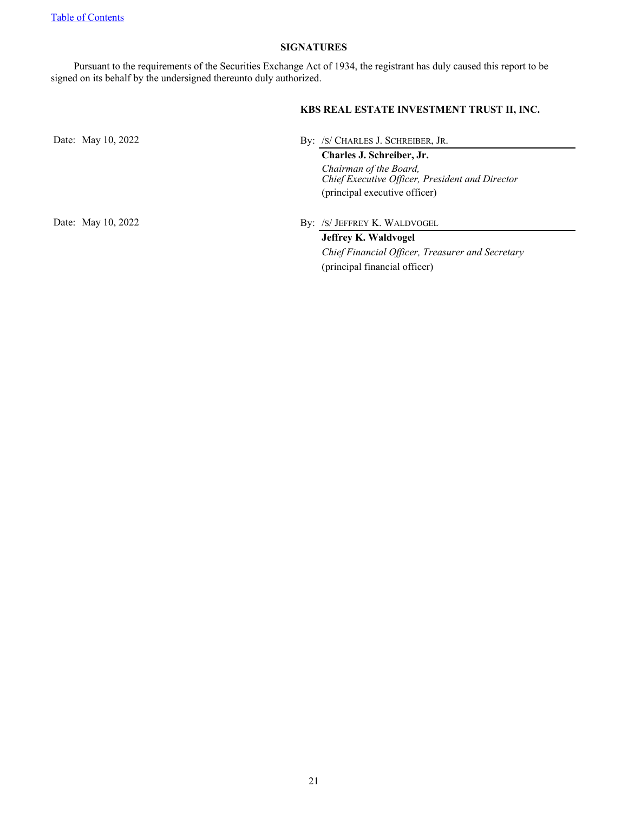### **SIGNATURES**

<span id="page-21-0"></span>Pursuant to the requirements of the Securities Exchange Act of 1934, the registrant has duly caused this report to be signed on its behalf by the undersigned thereunto duly authorized.

## **KBS REAL ESTATE INVESTMENT TRUST II, INC.**

(principal financial officer)

Date: May 10, 2022 By: /S/ CHARLES J. SCHREIBER, JR. **Charles J. Schreiber, Jr.** *Chairman of the Board, Chief Executive Officer, President and Director* (principal executive officer) Date: May 10, 2022 By: /S/ JEFFREY K. WALDVOGEL **Jeffrey K. Waldvogel** *Chief Financial Officer, Treasurer and Secretary*

21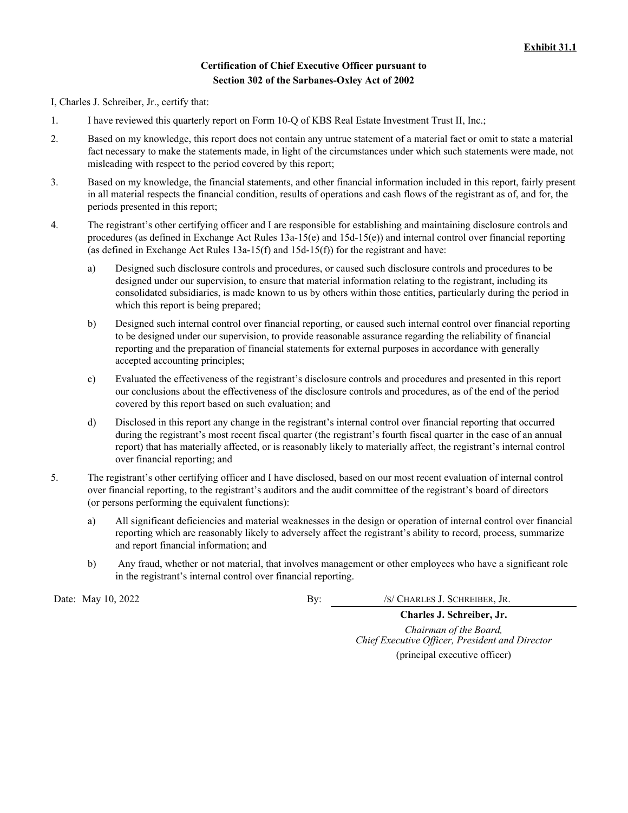## **Certification of Chief Executive Officer pursuant to Section 302 of the Sarbanes-Oxley Act of 2002**

I, Charles J. Schreiber, Jr., certify that:

- 1. I have reviewed this quarterly report on Form 10-Q of KBS Real Estate Investment Trust II, Inc.;
- 2. Based on my knowledge, this report does not contain any untrue statement of a material fact or omit to state a material fact necessary to make the statements made, in light of the circumstances under which such statements were made, not misleading with respect to the period covered by this report;
- 3. Based on my knowledge, the financial statements, and other financial information included in this report, fairly present in all material respects the financial condition, results of operations and cash flows of the registrant as of, and for, the periods presented in this report;
- 4. The registrant's other certifying officer and I are responsible for establishing and maintaining disclosure controls and procedures (as defined in Exchange Act Rules 13a-15(e) and 15d-15(e)) and internal control over financial reporting (as defined in Exchange Act Rules  $13a-15(f)$  and  $15d-15(f)$ ) for the registrant and have:
	- a) Designed such disclosure controls and procedures, or caused such disclosure controls and procedures to be designed under our supervision, to ensure that material information relating to the registrant, including its consolidated subsidiaries, is made known to us by others within those entities, particularly during the period in which this report is being prepared;
	- b) Designed such internal control over financial reporting, or caused such internal control over financial reporting to be designed under our supervision, to provide reasonable assurance regarding the reliability of financial reporting and the preparation of financial statements for external purposes in accordance with generally accepted accounting principles;
	- c) Evaluated the effectiveness of the registrant's disclosure controls and procedures and presented in this report our conclusions about the effectiveness of the disclosure controls and procedures, as of the end of the period covered by this report based on such evaluation; and
	- d) Disclosed in this report any change in the registrant's internal control over financial reporting that occurred during the registrant's most recent fiscal quarter (the registrant's fourth fiscal quarter in the case of an annual report) that has materially affected, or is reasonably likely to materially affect, the registrant's internal control over financial reporting; and
- 5. The registrant's other certifying officer and I have disclosed, based on our most recent evaluation of internal control over financial reporting, to the registrant's auditors and the audit committee of the registrant's board of directors (or persons performing the equivalent functions):
	- a) All significant deficiencies and material weaknesses in the design or operation of internal control over financial reporting which are reasonably likely to adversely affect the registrant's ability to record, process, summarize and report financial information; and
	- b) Any fraud, whether or not material, that involves management or other employees who have a significant role in the registrant's internal control over financial reporting.

Date: May 10, 2022 By: /S/ CHARLES J. SCHREIBER, JR.

**Charles J. Schreiber, Jr.** *Chairman of the Board, Chief Executive Officer, President and Director* (principal executive officer)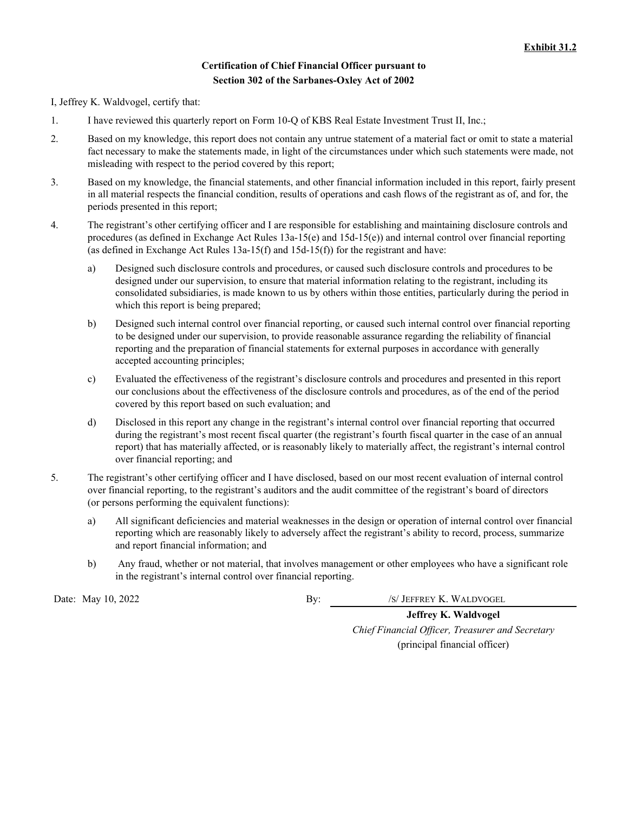## **Certification of Chief Financial Officer pursuant to Section 302 of the Sarbanes-Oxley Act of 2002**

I, Jeffrey K. Waldvogel, certify that:

- 1. I have reviewed this quarterly report on Form 10-Q of KBS Real Estate Investment Trust II, Inc.;
- 2. Based on my knowledge, this report does not contain any untrue statement of a material fact or omit to state a material fact necessary to make the statements made, in light of the circumstances under which such statements were made, not misleading with respect to the period covered by this report;
- 3. Based on my knowledge, the financial statements, and other financial information included in this report, fairly present in all material respects the financial condition, results of operations and cash flows of the registrant as of, and for, the periods presented in this report;
- 4. The registrant's other certifying officer and I are responsible for establishing and maintaining disclosure controls and procedures (as defined in Exchange Act Rules 13a-15(e) and 15d-15(e)) and internal control over financial reporting (as defined in Exchange Act Rules  $13a-15(f)$  and  $15d-15(f)$ ) for the registrant and have:
	- a) Designed such disclosure controls and procedures, or caused such disclosure controls and procedures to be designed under our supervision, to ensure that material information relating to the registrant, including its consolidated subsidiaries, is made known to us by others within those entities, particularly during the period in which this report is being prepared;
	- b) Designed such internal control over financial reporting, or caused such internal control over financial reporting to be designed under our supervision, to provide reasonable assurance regarding the reliability of financial reporting and the preparation of financial statements for external purposes in accordance with generally accepted accounting principles;
	- c) Evaluated the effectiveness of the registrant's disclosure controls and procedures and presented in this report our conclusions about the effectiveness of the disclosure controls and procedures, as of the end of the period covered by this report based on such evaluation; and
	- d) Disclosed in this report any change in the registrant's internal control over financial reporting that occurred during the registrant's most recent fiscal quarter (the registrant's fourth fiscal quarter in the case of an annual report) that has materially affected, or is reasonably likely to materially affect, the registrant's internal control over financial reporting; and
- 5. The registrant's other certifying officer and I have disclosed, based on our most recent evaluation of internal control over financial reporting, to the registrant's auditors and the audit committee of the registrant's board of directors (or persons performing the equivalent functions):
	- a) All significant deficiencies and material weaknesses in the design or operation of internal control over financial reporting which are reasonably likely to adversely affect the registrant's ability to record, process, summarize and report financial information; and
	- b) Any fraud, whether or not material, that involves management or other employees who have a significant role in the registrant's internal control over financial reporting.

Date: May 10, 2022 By: /S/ JEFFREY K. WALDVOGEL

**Jeffrey K. Waldvogel** *Chief Financial Officer, Treasurer and Secretary* (principal financial officer)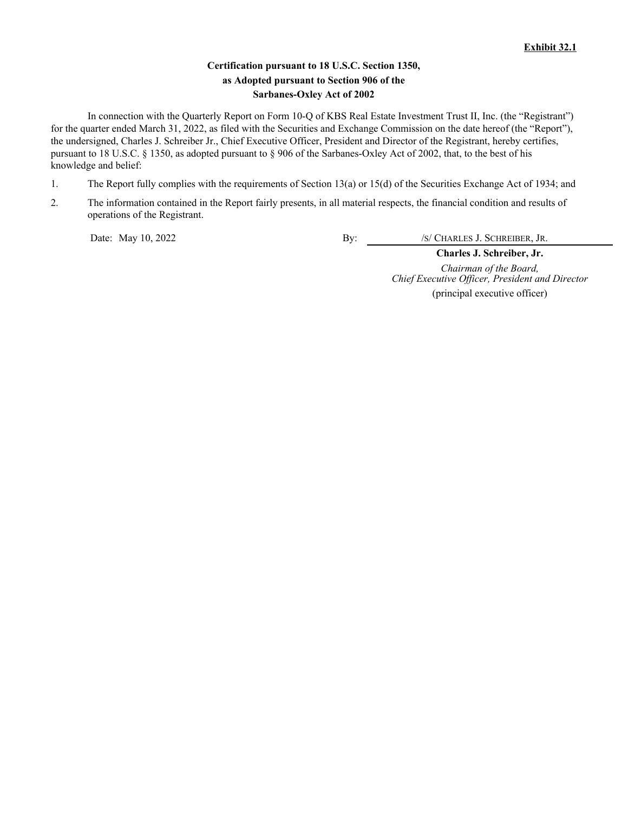## **Certification pursuant to 18 U.S.C. Section 1350, as Adopted pursuant to Section 906 of the Sarbanes-Oxley Act of 2002**

In connection with the Quarterly Report on Form 10-Q of KBS Real Estate Investment Trust II, Inc. (the "Registrant") for the quarter ended March 31, 2022, as filed with the Securities and Exchange Commission on the date hereof (the "Report"), the undersigned, Charles J. Schreiber Jr., Chief Executive Officer, President and Director of the Registrant, hereby certifies, pursuant to 18 U.S.C. § 1350, as adopted pursuant to § 906 of the Sarbanes-Oxley Act of 2002, that, to the best of his knowledge and belief:

- 1. The Report fully complies with the requirements of Section 13(a) or 15(d) of the Securities Exchange Act of 1934; and
- 2. The information contained in the Report fairly presents, in all material respects, the financial condition and results of operations of the Registrant.

Date: May 10, 2022 By: /S/ CHARLES J. SCHREIBER, JR.

**Charles J. Schreiber, Jr.** *Chairman of the Board, Chief Executive Officer, President and Director* (principal executive officer)